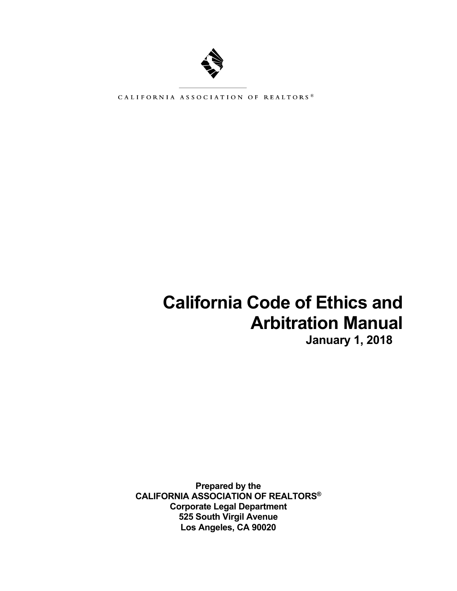

CALIFORNIA ASSOCIATION OF REALTORS®

# **California Code of Ethics and Arbitration Manual**

**January 1, 2018** 

**Prepared by the CALIFORNIA ASSOCIATION OF REALTORS® Corporate Legal Department 525 South Virgil Avenue Los Angeles, CA 90020**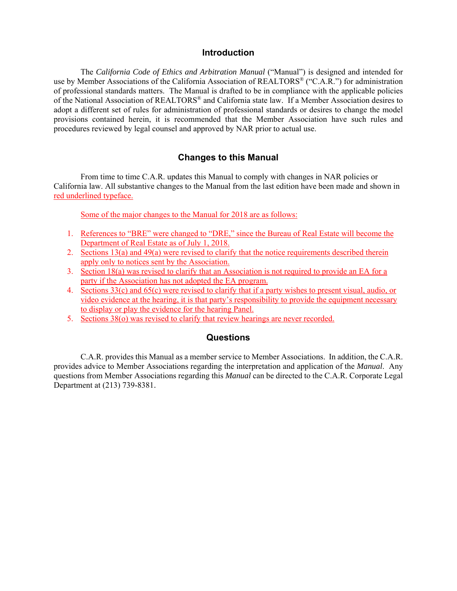#### **Introduction**

The *California Code of Ethics and Arbitration Manual* ("Manual") is designed and intended for use by Member Associations of the California Association of REALTORS<sup>®</sup> ("C.A.R.") for administration of professional standards matters. The Manual is drafted to be in compliance with the applicable policies of the National Association of REALTORS® and California state law. If a Member Association desires to adopt a different set of rules for administration of professional standards or desires to change the model provisions contained herein, it is recommended that the Member Association have such rules and procedures reviewed by legal counsel and approved by NAR prior to actual use.

# **Changes to this Manual**

 From time to time C.A.R. updates this Manual to comply with changes in NAR policies or California law. All substantive changes to the Manual from the last edition have been made and shown in red underlined typeface.

Some of the major changes to the Manual for 2018 are as follows:

- 1. References to "BRE" were changed to "DRE," since the Bureau of Real Estate will become the Department of Real Estate as of July 1, 2018.
- 2. Sections 13(a) and 49(a) were revised to clarify that the notice requirements described therein apply only to notices sent by the Association.
- 3. Section 18(a) was revised to clarify that an Association is not required to provide an EA for a party if the Association has not adopted the EA program.
- 4. Sections 33(c) and 65(c) were revised to clarify that if a party wishes to present visual, audio, or video evidence at the hearing, it is that party's responsibility to provide the equipment necessary to display or play the evidence for the hearing Panel.
- 5. Sections 38(o) was revised to clarify that review hearings are never recorded.

#### **Questions**

C.A.R. provides this Manual as a member service to Member Associations. In addition, the C.A.R. provides advice to Member Associations regarding the interpretation and application of the *Manual*. Any questions from Member Associations regarding this *Manual* can be directed to the C.A.R. Corporate Legal Department at (213) 739-8381.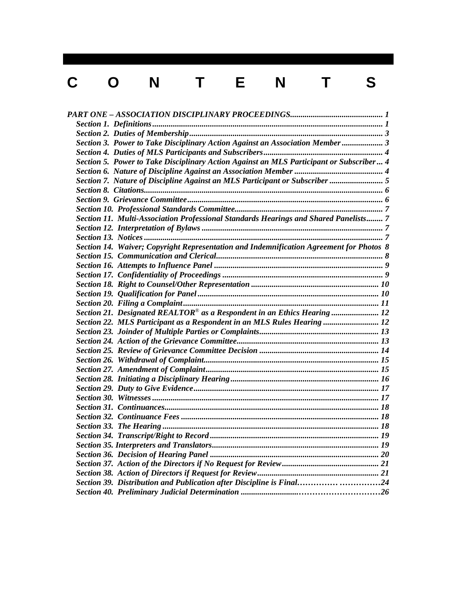# C O N T E N T S

| Section 3. Power to Take Disciplinary Action Against an Association Member 3            |  |
|-----------------------------------------------------------------------------------------|--|
|                                                                                         |  |
| Section 5. Power to Take Disciplinary Action Against an MLS Participant or Subscriber 4 |  |
|                                                                                         |  |
| Section 7. Nature of Discipline Against an MLS Participant or Subscriber  5             |  |
|                                                                                         |  |
|                                                                                         |  |
|                                                                                         |  |
| Section 11. Multi-Association Professional Standards Hearings and Shared Panelists 7    |  |
|                                                                                         |  |
|                                                                                         |  |
| Section 14. Waiver; Copyright Representation and Indemnification Agreement for Photos 8 |  |
|                                                                                         |  |
|                                                                                         |  |
|                                                                                         |  |
|                                                                                         |  |
|                                                                                         |  |
|                                                                                         |  |
| Section 21. Designated $REALTOR^{\otimes}$ as a Respondent in an Ethics Hearing  12     |  |
| Section 22. MLS Participant as a Respondent in an MLS Rules Hearing  12                 |  |
|                                                                                         |  |
|                                                                                         |  |
|                                                                                         |  |
|                                                                                         |  |
|                                                                                         |  |
|                                                                                         |  |
|                                                                                         |  |
|                                                                                         |  |
|                                                                                         |  |
|                                                                                         |  |
|                                                                                         |  |
|                                                                                         |  |
|                                                                                         |  |
|                                                                                         |  |
|                                                                                         |  |
|                                                                                         |  |
| Section 39. Distribution and Publication after Discipline is Final24                    |  |
|                                                                                         |  |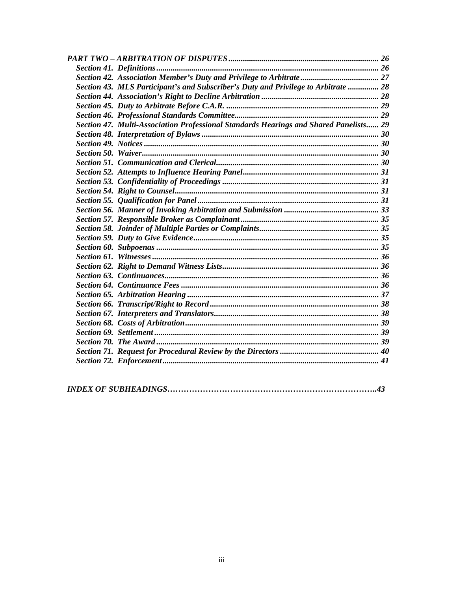| Section 43. MLS Participant's and Subscriber's Duty and Privilege to Arbitrate  28    |  |
|---------------------------------------------------------------------------------------|--|
|                                                                                       |  |
|                                                                                       |  |
|                                                                                       |  |
| Section 47. Multi-Association Professional Standards Hearings and Shared Panelists 29 |  |
|                                                                                       |  |
|                                                                                       |  |
|                                                                                       |  |
|                                                                                       |  |
|                                                                                       |  |
|                                                                                       |  |
|                                                                                       |  |
|                                                                                       |  |
|                                                                                       |  |
|                                                                                       |  |
|                                                                                       |  |
|                                                                                       |  |
|                                                                                       |  |
|                                                                                       |  |
|                                                                                       |  |
|                                                                                       |  |
|                                                                                       |  |
|                                                                                       |  |
|                                                                                       |  |
|                                                                                       |  |
|                                                                                       |  |
|                                                                                       |  |
|                                                                                       |  |
|                                                                                       |  |
|                                                                                       |  |
|                                                                                       |  |

|--|--|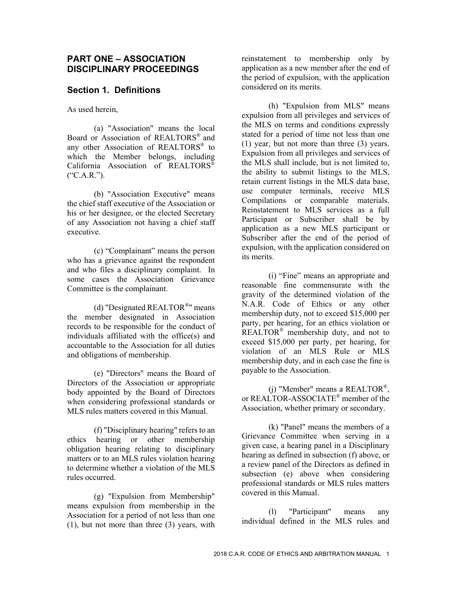#### **PART ONE – ASSOCIATION DISCIPLINARY PROCEEDINGS**

#### **Section 1. Definitions**

As used herein,

(a) "Association" means the local Board or Association of REALTORS® and any other Association of REALTORS® to which the Member belongs, including California Association of REALTORS®  $(*C.A.R.")$ .

(b) "Association Executive" means the chief staff executive of the Association or his or her designee, or the elected Secretary of any Association not having a chief staff executive.

(c) "Complainant" means the person who has a grievance against the respondent and who files a disciplinary complaint. In some cases the Association Grievance Committee is the complainant.

(d) "Designated REALTOR®" means the member designated in Association records to be responsible for the conduct of individuals affiliated with the office(s) and accountable to the Association for all duties and obligations of membership.

(e) "Directors" means the Board of Directors of the Association or appropriate body appointed by the Board of Directors when considering professional standards or MLS rules matters covered in this Manual.

(f) "Disciplinary hearing" refers to an ethics hearing or other membership obligation hearing relating to disciplinary matters or to an MLS rules violation hearing to determine whether a violation of the MLS rules occurred.

(g) "Expulsion from Membership" means expulsion from membership in the Association for a period of not less than one (1), but not more than three (3) years, with reinstatement to membership only by application as a new member after the end of the period of expulsion, with the application considered on its merits.

(h) "Expulsion from MLS" means expulsion from all privileges and services of the MLS on terms and conditions expressly stated for a period of time not less than one (1) year, but not more than three (3) years. Expulsion from all privileges and services of the MLS shall include, but is not limited to, the ability to submit listings to the MLS, retain current listings in the MLS data base, use computer terminals, receive MLS Compilations or comparable materials. Reinstatement to MLS services as a full Participant or Subscriber shall be by application as a new MLS participant or Subscriber after the end of the period of expulsion, with the application considered on its merits.

(i) "Fine" means an appropriate and reasonable fine commensurate with the gravity of the determined violation of the N.A.R. Code of Ethics or any other membership duty, not to exceed \$15,000 per party, per hearing, for an ethics violation or REALTOR<sup>®</sup> membership duty, and not to exceed \$15,000 per party, per hearing, for violation of an MLS Rule or MLS membership duty, and in each case the fine is payable to the Association.

(j) "Member" means a REALTOR®, or REALTOR-ASSOCIATE® member of the Association, whether primary or secondary.

(k) "Panel" means the members of a Grievance Committee when serving in a given case, a hearing panel in a Disciplinary hearing as defined in subsection (f) above, or a review panel of the Directors as defined in subsection (e) above when considering professional standards or MLS rules matters covered in this Manual.

(l) "Participant" means any individual defined in the MLS rules and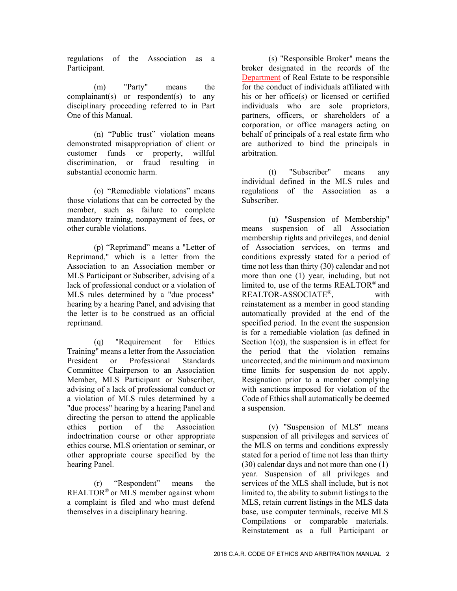regulations of the Association as a Participant.

(m) "Party" means the complainant(s) or respondent(s) to any disciplinary proceeding referred to in Part One of this Manual.

(n) "Public trust" violation means demonstrated misappropriation of client or customer funds or property, willful discrimination, or fraud resulting in substantial economic harm.

(o) "Remediable violations" means those violations that can be corrected by the member, such as failure to complete mandatory training, nonpayment of fees, or other curable violations.

(p) "Reprimand" means a "Letter of Reprimand," which is a letter from the Association to an Association member or MLS Participant or Subscriber, advising of a lack of professional conduct or a violation of MLS rules determined by a "due process" hearing by a hearing Panel, and advising that the letter is to be construed as an official reprimand.

(q) "Requirement for Ethics Training" means a letter from the Association President or Professional Standards Committee Chairperson to an Association Member, MLS Participant or Subscriber, advising of a lack of professional conduct or a violation of MLS rules determined by a "due process" hearing by a hearing Panel and directing the person to attend the applicable ethics portion of the Association indoctrination course or other appropriate ethics course, MLS orientation or seminar, or other appropriate course specified by the hearing Panel.

(r) "Respondent" means the REALTOR® or MLS member against whom a complaint is filed and who must defend themselves in a disciplinary hearing.

(s) "Responsible Broker" means the broker designated in the records of the Department of Real Estate to be responsible for the conduct of individuals affiliated with his or her office(s) or licensed or certified individuals who are sole proprietors, partners, officers, or shareholders of a corporation, or office managers acting on behalf of principals of a real estate firm who are authorized to bind the principals in arbitration.

(t) "Subscriber" means any individual defined in the MLS rules and regulations of the Association as a Subscriber.

(u) "Suspension of Membership" means suspension of all Association membership rights and privileges, and denial of Association services, on terms and conditions expressly stated for a period of time not less than thirty (30) calendar and not more than one (1) year, including, but not limited to, use of the terms REALTOR® and REALTOR-ASSOCIATE®, with reinstatement as a member in good standing automatically provided at the end of the specified period. In the event the suspension is for a remediable violation (as defined in Section 1(o)), the suspension is in effect for the period that the violation remains uncorrected, and the minimum and maximum time limits for suspension do not apply. Resignation prior to a member complying with sanctions imposed for violation of the Code of Ethics shall automatically be deemed a suspension.

(v) "Suspension of MLS" means suspension of all privileges and services of the MLS on terms and conditions expressly stated for a period of time not less than thirty (30) calendar days and not more than one (1) year. Suspension of all privileges and services of the MLS shall include, but is not limited to, the ability to submit listings to the MLS, retain current listings in the MLS data base, use computer terminals, receive MLS Compilations or comparable materials. Reinstatement as a full Participant or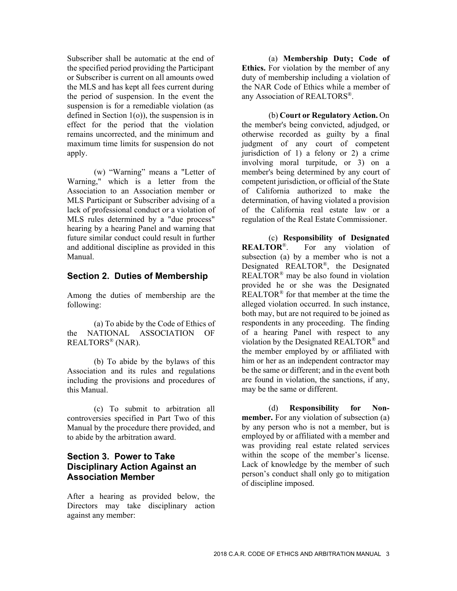Subscriber shall be automatic at the end of the specified period providing the Participant or Subscriber is current on all amounts owed the MLS and has kept all fees current during the period of suspension. In the event the suspension is for a remediable violation (as defined in Section 1(o)), the suspension is in effect for the period that the violation remains uncorrected, and the minimum and maximum time limits for suspension do not apply.

(w) "Warning" means a "Letter of Warning," which is a letter from the Association to an Association member or MLS Participant or Subscriber advising of a lack of professional conduct or a violation of MLS rules determined by a "due process" hearing by a hearing Panel and warning that future similar conduct could result in further and additional discipline as provided in this Manual.

#### **Section 2. Duties of Membership**

Among the duties of membership are the following:

(a) To abide by the Code of Ethics of the NATIONAL ASSOCIATION OF REALTORS® (NAR).

(b) To abide by the bylaws of this Association and its rules and regulations including the provisions and procedures of this Manual.

(c) To submit to arbitration all controversies specified in Part Two of this Manual by the procedure there provided, and to abide by the arbitration award.

# **Section 3. Power to Take Disciplinary Action Against an Association Member**

After a hearing as provided below, the Directors may take disciplinary action against any member:

(a) **Membership Duty; Code of Ethics.** For violation by the member of any duty of membership including a violation of the NAR Code of Ethics while a member of any Association of REALTORS®.

(b) **Court or Regulatory Action.** On the member's being convicted, adjudged, or otherwise recorded as guilty by a final judgment of any court of competent jurisdiction of 1) a felony or 2) a crime involving moral turpitude, or 3) on a member's being determined by any court of competent jurisdiction, or official of the State of California authorized to make the determination, of having violated a provision of the California real estate law or a regulation of the Real Estate Commissioner.

(c) **Responsibility of Designated REALTOR**®. For any violation of subsection (a) by a member who is not a Designated REALTOR®, the Designated REALTOR<sup>®</sup> may be also found in violation provided he or she was the Designated REALTOR® for that member at the time the alleged violation occurred. In such instance, both may, but are not required to be joined as respondents in any proceeding. The finding of a hearing Panel with respect to any violation by the Designated REALTOR® and the member employed by or affiliated with him or her as an independent contractor may be the same or different; and in the event both are found in violation, the sanctions, if any, may be the same or different.

(d) **Responsibility for Nonmember.** For any violation of subsection (a) by any person who is not a member, but is employed by or affiliated with a member and was providing real estate related services within the scope of the member's license. Lack of knowledge by the member of such person's conduct shall only go to mitigation of discipline imposed.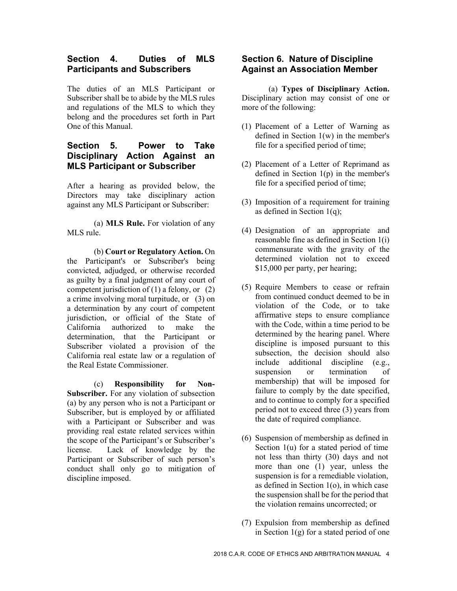#### **Section 4. Duties of MLS Participants and Subscribers**

The duties of an MLS Participant or Subscriber shall be to abide by the MLS rules and regulations of the MLS to which they belong and the procedures set forth in Part One of this Manual.

# **Section 5. Power to Take Disciplinary Action Against an MLS Participant or Subscriber**

After a hearing as provided below, the Directors may take disciplinary action against any MLS Participant or Subscriber:

(a) **MLS Rule.** For violation of any MLS rule.

(b) **Court or Regulatory Action.** On the Participant's or Subscriber's being convicted, adjudged, or otherwise recorded as guilty by a final judgment of any court of competent jurisdiction of  $(1)$  a felony, or  $(2)$ a crime involving moral turpitude, or (3) on a determination by any court of competent jurisdiction, or official of the State of California authorized to make the determination, that the Participant or Subscriber violated a provision of the California real estate law or a regulation of the Real Estate Commissioner.

(c) **Responsibility for Non-Subscriber.** For any violation of subsection (a) by any person who is not a Participant or Subscriber, but is employed by or affiliated with a Participant or Subscriber and was providing real estate related services within the scope of the Participant's or Subscriber's license. Lack of knowledge by the Participant or Subscriber of such person's conduct shall only go to mitigation of discipline imposed.

#### **Section 6. Nature of Discipline Against an Association Member**

(a) **Types of Disciplinary Action.**  Disciplinary action may consist of one or more of the following:

- (1) Placement of a Letter of Warning as defined in Section 1(w) in the member's file for a specified period of time;
- (2) Placement of a Letter of Reprimand as defined in Section 1(p) in the member's file for a specified period of time;
- (3) Imposition of a requirement for training as defined in Section 1(q);
- (4) Designation of an appropriate and reasonable fine as defined in Section 1(i) commensurate with the gravity of the determined violation not to exceed \$15,000 per party, per hearing;
- (5) Require Members to cease or refrain from continued conduct deemed to be in violation of the Code, or to take affirmative steps to ensure compliance with the Code, within a time period to be determined by the hearing panel. Where discipline is imposed pursuant to this subsection, the decision should also include additional discipline (e.g., suspension or termination of membership) that will be imposed for failure to comply by the date specified, and to continue to comply for a specified period not to exceed three (3) years from the date of required compliance.
- (6) Suspension of membership as defined in Section 1(u) for a stated period of time not less than thirty (30) days and not more than one (1) year, unless the suspension is for a remediable violation, as defined in Section 1(o), in which case the suspension shall be for the period that the violation remains uncorrected; or
- (7) Expulsion from membership as defined in Section  $1(g)$  for a stated period of one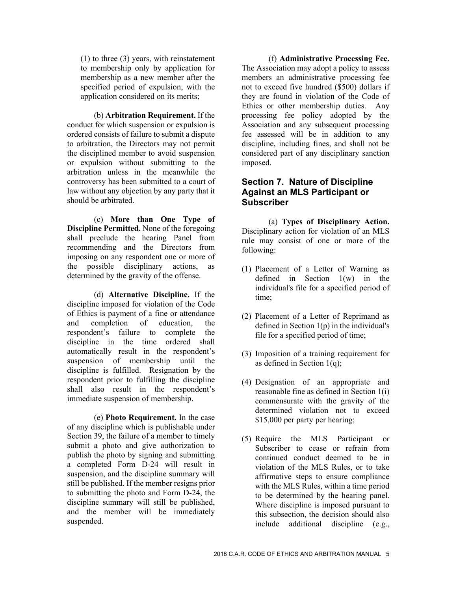(1) to three (3) years, with reinstatement to membership only by application for membership as a new member after the specified period of expulsion, with the application considered on its merits;

(b) **Arbitration Requirement.** If the conduct for which suspension or expulsion is ordered consists of failure to submit a dispute to arbitration, the Directors may not permit the disciplined member to avoid suspension or expulsion without submitting to the arbitration unless in the meanwhile the controversy has been submitted to a court of law without any objection by any party that it should be arbitrated.

(c) **More than One Type of Discipline Permitted.** None of the foregoing shall preclude the hearing Panel from recommending and the Directors from imposing on any respondent one or more of the possible disciplinary actions, as determined by the gravity of the offense.

(d) **Alternative Discipline.** If the discipline imposed for violation of the Code of Ethics is payment of a fine or attendance and completion of education, the respondent's failure to complete the discipline in the time ordered shall automatically result in the respondent's suspension of membership until the discipline is fulfilled. Resignation by the respondent prior to fulfilling the discipline shall also result in the respondent's immediate suspension of membership.

(e) **Photo Requirement.** In the case of any discipline which is publishable under Section 39, the failure of a member to timely submit a photo and give authorization to publish the photo by signing and submitting a completed Form D-24 will result in suspension, and the discipline summary will still be published. If the member resigns prior to submitting the photo and Form D-24, the discipline summary will still be published, and the member will be immediately suspended.

(f) **Administrative Processing Fee.**  The Association may adopt a policy to assess members an administrative processing fee not to exceed five hundred (\$500) dollars if they are found in violation of the Code of Ethics or other membership duties. Any processing fee policy adopted by the Association and any subsequent processing fee assessed will be in addition to any discipline, including fines, and shall not be considered part of any disciplinary sanction imposed.

#### **Section 7. Nature of Discipline Against an MLS Participant or Subscriber**

(a) **Types of Disciplinary Action.**  Disciplinary action for violation of an MLS rule may consist of one or more of the following:

- (1) Placement of a Letter of Warning as defined in Section 1(w) in the individual's file for a specified period of time;
- (2) Placement of a Letter of Reprimand as defined in Section 1(p) in the individual's file for a specified period of time;
- (3) Imposition of a training requirement for as defined in Section 1(q);
- (4) Designation of an appropriate and reasonable fine as defined in Section 1(i) commensurate with the gravity of the determined violation not to exceed \$15,000 per party per hearing;
- (5) Require the MLS Participant or Subscriber to cease or refrain from continued conduct deemed to be in violation of the MLS Rules, or to take affirmative steps to ensure compliance with the MLS Rules, within a time period to be determined by the hearing panel. Where discipline is imposed pursuant to this subsection, the decision should also include additional discipline (e.g.,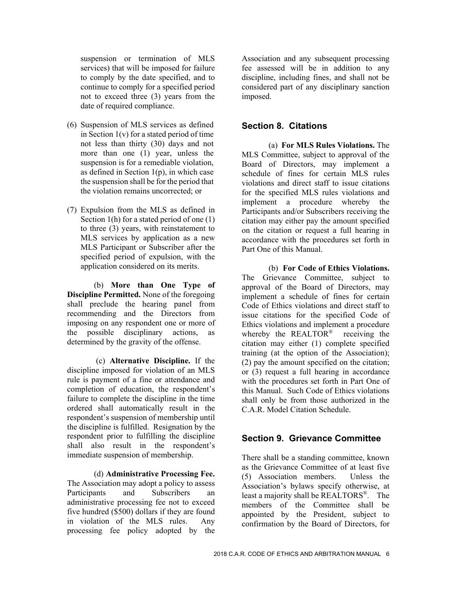suspension or termination of MLS services) that will be imposed for failure to comply by the date specified, and to continue to comply for a specified period not to exceed three (3) years from the date of required compliance.

- (6) Suspension of MLS services as defined in Section 1(v) for a stated period of time not less than thirty (30) days and not more than one (1) year, unless the suspension is for a remediable violation, as defined in Section  $1(p)$ , in which case the suspension shall be for the period that the violation remains uncorrected; or
- (7) Expulsion from the MLS as defined in Section 1(h) for a stated period of one (1) to three (3) years, with reinstatement to MLS services by application as a new MLS Participant or Subscriber after the specified period of expulsion, with the application considered on its merits.

(b) **More than One Type of Discipline Permitted.** None of the foregoing shall preclude the hearing panel from recommending and the Directors from imposing on any respondent one or more of the possible disciplinary actions, as determined by the gravity of the offense.

 (c) **Alternative Discipline.** If the discipline imposed for violation of an MLS rule is payment of a fine or attendance and completion of education, the respondent's failure to complete the discipline in the time ordered shall automatically result in the respondent's suspension of membership until the discipline is fulfilled. Resignation by the respondent prior to fulfilling the discipline shall also result in the respondent's immediate suspension of membership.

(d) **Administrative Processing Fee.**  The Association may adopt a policy to assess Participants and Subscribers an administrative processing fee not to exceed five hundred (\$500) dollars if they are found in violation of the MLS rules. Any processing fee policy adopted by the

Association and any subsequent processing fee assessed will be in addition to any discipline, including fines, and shall not be considered part of any disciplinary sanction imposed.

#### **Section 8. Citations**

(a) **For MLS Rules Violations.** The MLS Committee, subject to approval of the Board of Directors, may implement a schedule of fines for certain MLS rules violations and direct staff to issue citations for the specified MLS rules violations and implement a procedure whereby the Participants and/or Subscribers receiving the citation may either pay the amount specified on the citation or request a full hearing in accordance with the procedures set forth in Part One of this Manual.

(b) **For Code of Ethics Violations.**  The Grievance Committee, subject to approval of the Board of Directors, may implement a schedule of fines for certain Code of Ethics violations and direct staff to issue citations for the specified Code of Ethics violations and implement a procedure whereby the REALTOR<sup>®</sup> receiving the citation may either (1) complete specified training (at the option of the Association); (2) pay the amount specified on the citation; or (3) request a full hearing in accordance with the procedures set forth in Part One of this Manual. Such Code of Ethics violations shall only be from those authorized in the C.A.R. Model Citation Schedule.

# **Section 9. Grievance Committee**

There shall be a standing committee, known as the Grievance Committee of at least five (5) Association members. Unless the Association's bylaws specify otherwise, at least a majority shall be REALTORS®. The members of the Committee shall be appointed by the President, subject to confirmation by the Board of Directors, for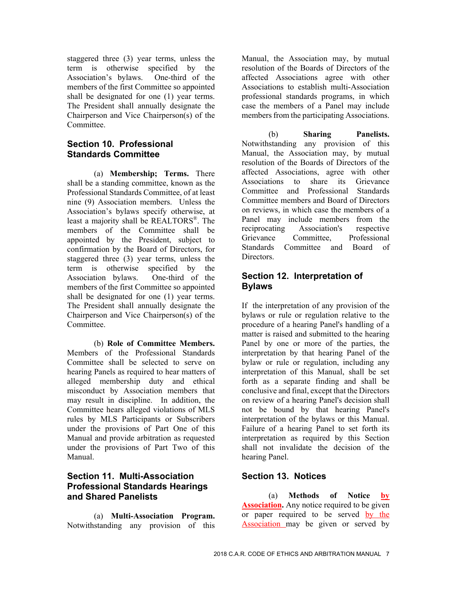staggered three (3) year terms, unless the term is otherwise specified by the Association's bylaws. One-third of the members of the first Committee so appointed shall be designated for one (1) year terms. The President shall annually designate the Chairperson and Vice Chairperson(s) of the Committee.

#### **Section 10. Professional Standards Committee**

(a) **Membership; Terms.** There shall be a standing committee, known as the Professional Standards Committee, of at least nine (9) Association members. Unless the Association's bylaws specify otherwise, at least a majority shall be REALTORS®. The members of the Committee shall be appointed by the President, subject to confirmation by the Board of Directors, for staggered three (3) year terms, unless the term is otherwise specified by the Association bylaws. One-third of the members of the first Committee so appointed shall be designated for one (1) year terms. The President shall annually designate the Chairperson and Vice Chairperson(s) of the Committee.

(b) **Role of Committee Members.**  Members of the Professional Standards Committee shall be selected to serve on hearing Panels as required to hear matters of alleged membership duty and ethical misconduct by Association members that may result in discipline. In addition, the Committee hears alleged violations of MLS rules by MLS Participants or Subscribers under the provisions of Part One of this Manual and provide arbitration as requested under the provisions of Part Two of this Manual.

# **Section 11. Multi-Association Professional Standards Hearings and Shared Panelists**

(a) **Multi-Association Program.**  Notwithstanding any provision of this Manual, the Association may, by mutual resolution of the Boards of Directors of the affected Associations agree with other Associations to establish multi-Association professional standards programs, in which case the members of a Panel may include members from the participating Associations.

(b) **Sharing Panelists.**  Notwithstanding any provision of this Manual, the Association may, by mutual resolution of the Boards of Directors of the affected Associations, agree with other Associations to share its Grievance Committee and Professional Standards Committee members and Board of Directors on reviews, in which case the members of a Panel may include members from the reciprocating Association's respective Grievance Committee, Professional Standards Committee and Board of Directors.

# **Section 12. Interpretation of Bylaws**

If the interpretation of any provision of the bylaws or rule or regulation relative to the procedure of a hearing Panel's handling of a matter is raised and submitted to the hearing Panel by one or more of the parties, the interpretation by that hearing Panel of the bylaw or rule or regulation, including any interpretation of this Manual, shall be set forth as a separate finding and shall be conclusive and final, except that the Directors on review of a hearing Panel's decision shall not be bound by that hearing Panel's interpretation of the bylaws or this Manual. Failure of a hearing Panel to set forth its interpretation as required by this Section shall not invalidate the decision of the hearing Panel.

# **Section 13. Notices**

(a) **Methods of Notice by Association.** Any notice required to be given or paper required to be served by the Association may be given or served by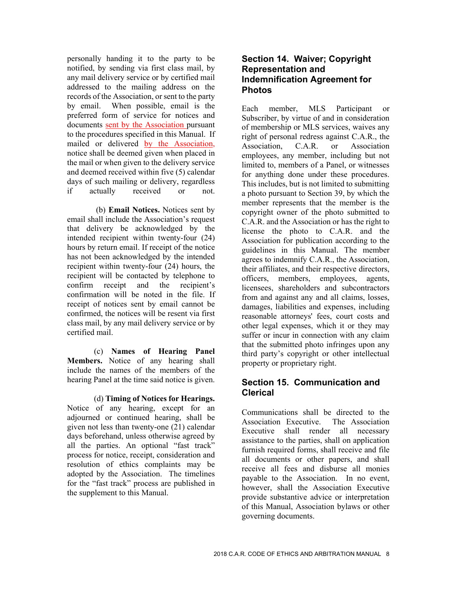personally handing it to the party to be notified, by sending via first class mail, by any mail delivery service or by certified mail addressed to the mailing address on the records of the Association, or sent to the party by email. When possible, email is the preferred form of service for notices and documents sent by the Association pursuant to the procedures specified in this Manual. If mailed or delivered by the Association, notice shall be deemed given when placed in the mail or when given to the delivery service and deemed received within five (5) calendar days of such mailing or delivery, regardless if actually received or not.

 (b) **Email Notices.** Notices sent by email shall include the Association's request that delivery be acknowledged by the intended recipient within twenty-four (24) hours by return email. If receipt of the notice has not been acknowledged by the intended recipient within twenty-four (24) hours, the recipient will be contacted by telephone to confirm receipt and the recipient's confirmation will be noted in the file. If receipt of notices sent by email cannot be confirmed, the notices will be resent via first class mail, by any mail delivery service or by certified mail.

(c) **Names of Hearing Panel Members.** Notice of any hearing shall include the names of the members of the hearing Panel at the time said notice is given.

(d) **Timing of Notices for Hearings.**  Notice of any hearing, except for an adjourned or continued hearing, shall be given not less than twenty-one (21) calendar days beforehand, unless otherwise agreed by all the parties. An optional "fast track" process for notice, receipt, consideration and resolution of ethics complaints may be adopted by the Association. The timelines for the "fast track" process are published in the supplement to this Manual.

#### **Section 14. Waiver; Copyright Representation and Indemnification Agreement for Photos**

Each member, MLS Participant or Subscriber, by virtue of and in consideration of membership or MLS services, waives any right of personal redress against C.A.R., the Association, C.A.R. or Association employees, any member, including but not limited to, members of a Panel, or witnesses for anything done under these procedures. This includes, but is not limited to submitting a photo pursuant to Section 39, by which the member represents that the member is the copyright owner of the photo submitted to C.A.R. and the Association or has the right to license the photo to C.A.R. and the Association for publication according to the guidelines in this Manual. The member agrees to indemnify C.A.R., the Association, their affiliates, and their respective directors, officers, members, employees, agents, licensees, shareholders and subcontractors from and against any and all claims, losses, damages, liabilities and expenses, including reasonable attorneys' fees, court costs and other legal expenses, which it or they may suffer or incur in connection with any claim that the submitted photo infringes upon any third party's copyright or other intellectual property or proprietary right.

# **Section 15. Communication and Clerical**

Communications shall be directed to the Association Executive. The Association Executive shall render all necessary assistance to the parties, shall on application furnish required forms, shall receive and file all documents or other papers, and shall receive all fees and disburse all monies payable to the Association. In no event, however, shall the Association Executive provide substantive advice or interpretation of this Manual, Association bylaws or other governing documents.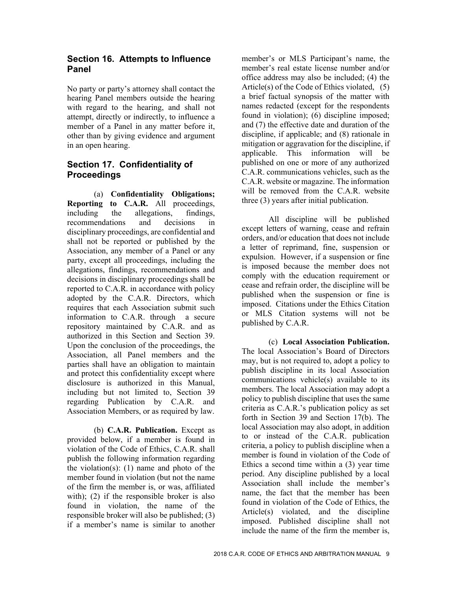#### **Section 16. Attempts to Influence Panel**

No party or party's attorney shall contact the hearing Panel members outside the hearing with regard to the hearing, and shall not attempt, directly or indirectly, to influence a member of a Panel in any matter before it, other than by giving evidence and argument in an open hearing.

# **Section 17. Confidentiality of Proceedings**

(a) **Confidentiality Obligations; Reporting to C.A.R.** All proceedings, including the allegations, findings, recommendations and decisions in disciplinary proceedings, are confidential and shall not be reported or published by the Association, any member of a Panel or any party, except all proceedings, including the allegations, findings, recommendations and decisions in disciplinary proceedings shall be reported to C.A.R. in accordance with policy adopted by the C.A.R. Directors, which requires that each Association submit such information to C.A.R. through a secure repository maintained by C.A.R. and as authorized in this Section and Section 39. Upon the conclusion of the proceedings, the Association, all Panel members and the parties shall have an obligation to maintain and protect this confidentiality except where disclosure is authorized in this Manual, including but not limited to, Section 39 regarding Publication by C.A.R. and Association Members, or as required by law.

(b) **C.A.R. Publication.** Except as provided below, if a member is found in violation of the Code of Ethics, C.A.R. shall publish the following information regarding the violation(s):  $(1)$  name and photo of the member found in violation (but not the name of the firm the member is, or was, affiliated with); (2) if the responsible broker is also found in violation, the name of the responsible broker will also be published; (3) if a member's name is similar to another

member's or MLS Participant's name, the member's real estate license number and/or office address may also be included; (4) the Article(s) of the Code of Ethics violated, (5) a brief factual synopsis of the matter with names redacted (except for the respondents found in violation); (6) discipline imposed; and (7) the effective date and duration of the discipline, if applicable; and (8) rationale in mitigation or aggravation for the discipline, if applicable. This information will be published on one or more of any authorized C.A.R. communications vehicles, such as the C.A.R. website or magazine. The information will be removed from the C.A.R. website three (3) years after initial publication.

All discipline will be published except letters of warning, cease and refrain orders, and/or education that does not include a letter of reprimand, fine, suspension or expulsion. However, if a suspension or fine is imposed because the member does not comply with the education requirement or cease and refrain order, the discipline will be published when the suspension or fine is imposed. Citations under the Ethics Citation or MLS Citation systems will not be published by C.A.R.

(c) **Local Association Publication.**  The local Association's Board of Directors may, but is not required to, adopt a policy to publish discipline in its local Association communications vehicle(s) available to its members. The local Association may adopt a policy to publish discipline that uses the same criteria as C.A.R.'s publication policy as set forth in Section 39 and Section 17(b). The local Association may also adopt, in addition to or instead of the C.A.R. publication criteria, a policy to publish discipline when a member is found in violation of the Code of Ethics a second time within a (3) year time period. Any discipline published by a local Association shall include the member's name, the fact that the member has been found in violation of the Code of Ethics, the Article(s) violated, and the discipline imposed. Published discipline shall not include the name of the firm the member is,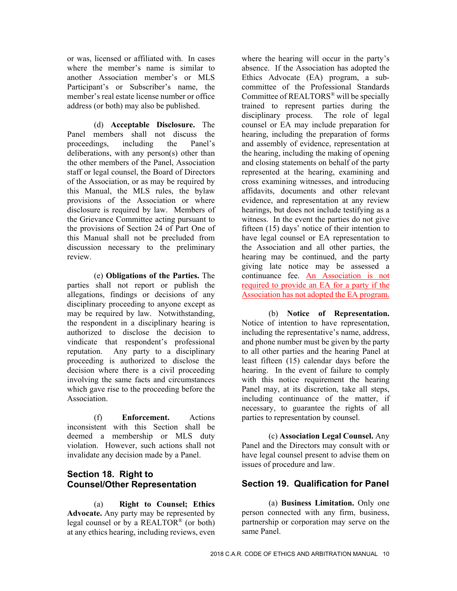or was, licensed or affiliated with. In cases where the member's name is similar to another Association member's or MLS Participant's or Subscriber's name, the member's real estate license number or office address (or both) may also be published.

(d) **Acceptable Disclosure.** The Panel members shall not discuss the proceedings, including the Panel's deliberations, with any person(s) other than the other members of the Panel, Association staff or legal counsel, the Board of Directors of the Association, or as may be required by this Manual, the MLS rules, the bylaw provisions of the Association or where disclosure is required by law. Members of the Grievance Committee acting pursuant to the provisions of Section 24 of Part One of this Manual shall not be precluded from discussion necessary to the preliminary review.

(e) **Obligations of the Parties.** The parties shall not report or publish the allegations, findings or decisions of any disciplinary proceeding to anyone except as may be required by law. Notwithstanding, the respondent in a disciplinary hearing is authorized to disclose the decision to vindicate that respondent's professional reputation. Any party to a disciplinary proceeding is authorized to disclose the decision where there is a civil proceeding involving the same facts and circumstances which gave rise to the proceeding before the Association.

(f) **Enforcement.** Actions inconsistent with this Section shall be deemed a membership or MLS duty violation. However, such actions shall not invalidate any decision made by a Panel.

# **Section 18. Right to Counsel/Other Representation**

(a) **Right to Counsel; Ethics Advocate.** Any party may be represented by legal counsel or by a REALTOR® (or both) at any ethics hearing, including reviews, even

where the hearing will occur in the party's absence. If the Association has adopted the Ethics Advocate (EA) program, a subcommittee of the Professional Standards Committee of REALTORS® will be specially trained to represent parties during the disciplinary process. The role of legal counsel or EA may include preparation for hearing, including the preparation of forms and assembly of evidence, representation at the hearing, including the making of opening and closing statements on behalf of the party represented at the hearing, examining and cross examining witnesses, and introducing affidavits, documents and other relevant evidence, and representation at any review hearings, but does not include testifying as a witness. In the event the parties do not give fifteen (15) days' notice of their intention to have legal counsel or EA representation to the Association and all other parties, the hearing may be continued, and the party giving late notice may be assessed a continuance fee. An Association is not required to provide an EA for a party if the Association has not adopted the EA program.

(b) **Notice of Representation.**  Notice of intention to have representation, including the representative's name, address, and phone number must be given by the party to all other parties and the hearing Panel at least fifteen (15) calendar days before the hearing. In the event of failure to comply with this notice requirement the hearing Panel may, at its discretion, take all steps, including continuance of the matter, if necessary, to guarantee the rights of all parties to representation by counsel.

(c) **Association Legal Counsel.** Any Panel and the Directors may consult with or have legal counsel present to advise them on issues of procedure and law.

# **Section 19. Qualification for Panel**

(a) **Business Limitation.** Only one person connected with any firm, business, partnership or corporation may serve on the same Panel.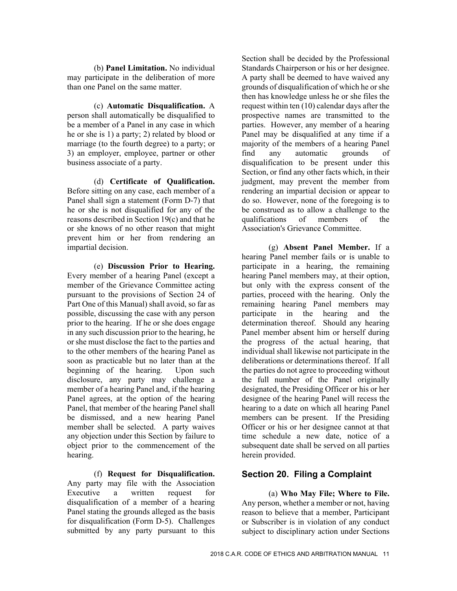(b) **Panel Limitation.** No individual may participate in the deliberation of more than one Panel on the same matter.

(c) **Automatic Disqualification.** A person shall automatically be disqualified to be a member of a Panel in any case in which he or she is 1) a party; 2) related by blood or marriage (to the fourth degree) to a party; or 3) an employer, employee, partner or other business associate of a party.

(d) **Certificate of Qualification.**  Before sitting on any case, each member of a Panel shall sign a statement (Form D-7) that he or she is not disqualified for any of the reasons described in Section 19(c) and that he or she knows of no other reason that might prevent him or her from rendering an impartial decision.

(e) **Discussion Prior to Hearing.**  Every member of a hearing Panel (except a member of the Grievance Committee acting pursuant to the provisions of Section 24 of Part One of this Manual) shall avoid, so far as possible, discussing the case with any person prior to the hearing. If he or she does engage in any such discussion prior to the hearing, he or she must disclose the fact to the parties and to the other members of the hearing Panel as soon as practicable but no later than at the beginning of the hearing. Upon such disclosure, any party may challenge a member of a hearing Panel and, if the hearing Panel agrees, at the option of the hearing Panel, that member of the hearing Panel shall be dismissed, and a new hearing Panel member shall be selected. A party waives any objection under this Section by failure to object prior to the commencement of the hearing.

(f) **Request for Disqualification.**  Any party may file with the Association Executive a written request for disqualification of a member of a hearing Panel stating the grounds alleged as the basis for disqualification (Form D-5). Challenges submitted by any party pursuant to this

Section shall be decided by the Professional Standards Chairperson or his or her designee. A party shall be deemed to have waived any grounds of disqualification of which he or she then has knowledge unless he or she files the request within ten (10) calendar days after the prospective names are transmitted to the parties. However, any member of a hearing Panel may be disqualified at any time if a majority of the members of a hearing Panel find any automatic grounds of disqualification to be present under this Section, or find any other facts which, in their judgment, may prevent the member from rendering an impartial decision or appear to do so. However, none of the foregoing is to be construed as to allow a challenge to the qualifications of members of the Association's Grievance Committee.

(g) **Absent Panel Member.** If a hearing Panel member fails or is unable to participate in a hearing, the remaining hearing Panel members may, at their option, but only with the express consent of the parties, proceed with the hearing. Only the remaining hearing Panel members may participate in the hearing and the determination thereof. Should any hearing Panel member absent him or herself during the progress of the actual hearing, that individual shall likewise not participate in the deliberations or determinations thereof. If all the parties do not agree to proceeding without the full number of the Panel originally designated, the Presiding Officer or his or her designee of the hearing Panel will recess the hearing to a date on which all hearing Panel members can be present. If the Presiding Officer or his or her designee cannot at that time schedule a new date, notice of a subsequent date shall be served on all parties herein provided.

# **Section 20. Filing a Complaint**

(a) **Who May File; Where to File.**  Any person, whether a member or not, having reason to believe that a member, Participant or Subscriber is in violation of any conduct subject to disciplinary action under Sections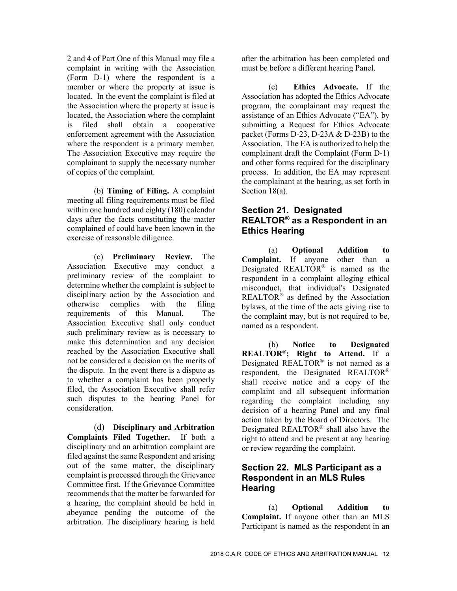2 and 4 of Part One of this Manual may file a complaint in writing with the Association (Form D-1) where the respondent is a member or where the property at issue is located. In the event the complaint is filed at the Association where the property at issue is located, the Association where the complaint is filed shall obtain a cooperative enforcement agreement with the Association where the respondent is a primary member. The Association Executive may require the complainant to supply the necessary number of copies of the complaint.

(b) **Timing of Filing.** A complaint meeting all filing requirements must be filed within one hundred and eighty (180) calendar days after the facts constituting the matter complained of could have been known in the exercise of reasonable diligence.

(c) **Preliminary Review.** The Association Executive may conduct a preliminary review of the complaint to determine whether the complaint is subject to disciplinary action by the Association and otherwise complies with the filing requirements of this Manual. The Association Executive shall only conduct such preliminary review as is necessary to make this determination and any decision reached by the Association Executive shall not be considered a decision on the merits of the dispute. In the event there is a dispute as to whether a complaint has been properly filed, the Association Executive shall refer such disputes to the hearing Panel for consideration.

(d) **Disciplinary and Arbitration Complaints Filed Together.** If both a disciplinary and an arbitration complaint are filed against the same Respondent and arising out of the same matter, the disciplinary complaint is processed through the Grievance Committee first. If the Grievance Committee recommends that the matter be forwarded for a hearing, the complaint should be held in abeyance pending the outcome of the arbitration. The disciplinary hearing is held after the arbitration has been completed and must be before a different hearing Panel.

(e) **Ethics Advocate.** If the Association has adopted the Ethics Advocate program, the complainant may request the assistance of an Ethics Advocate ("EA"), by submitting a Request for Ethics Advocate packet (Forms D-23, D-23A & D-23B) to the Association. The EA is authorized to help the complainant draft the Complaint (Form D-1) and other forms required for the disciplinary process. In addition, the EA may represent the complainant at the hearing, as set forth in Section 18(a).

# **Section 21. Designated REALTOR® as a Respondent in an Ethics Hearing**

(a) **Optional Addition to Complaint.** If anyone other than a Designated REALTOR® is named as the respondent in a complaint alleging ethical misconduct, that individual's Designated REALTOR® as defined by the Association bylaws, at the time of the acts giving rise to the complaint may, but is not required to be, named as a respondent.

(b) **Notice to Designated REALTOR®; Right to Attend.** If a Designated REALTOR® is not named as a respondent, the Designated REALTOR® shall receive notice and a copy of the complaint and all subsequent information regarding the complaint including any decision of a hearing Panel and any final action taken by the Board of Directors. The Designated REALTOR® shall also have the right to attend and be present at any hearing or review regarding the complaint.

# **Section 22. MLS Participant as a Respondent in an MLS Rules Hearing**

(a) **Optional Addition to Complaint.** If anyone other than an MLS Participant is named as the respondent in an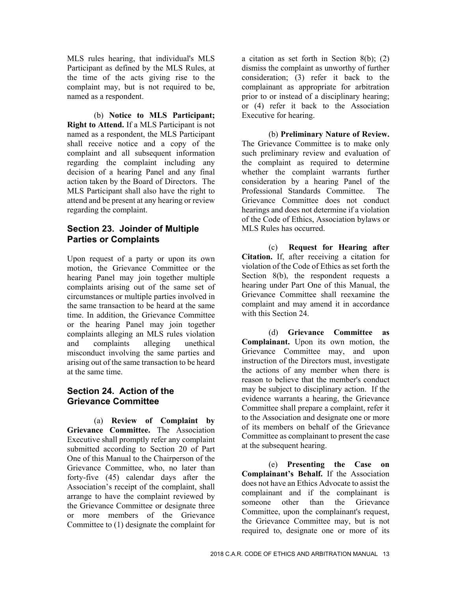MLS rules hearing, that individual's MLS Participant as defined by the MLS Rules, at the time of the acts giving rise to the complaint may, but is not required to be, named as a respondent.

(b) **Notice to MLS Participant; Right to Attend.** If a MLS Participant is not named as a respondent, the MLS Participant shall receive notice and a copy of the complaint and all subsequent information regarding the complaint including any decision of a hearing Panel and any final action taken by the Board of Directors. The MLS Participant shall also have the right to attend and be present at any hearing or review regarding the complaint.

#### **Section 23. Joinder of Multiple Parties or Complaints**

Upon request of a party or upon its own motion, the Grievance Committee or the hearing Panel may join together multiple complaints arising out of the same set of circumstances or multiple parties involved in the same transaction to be heard at the same time. In addition, the Grievance Committee or the hearing Panel may join together complaints alleging an MLS rules violation and complaints alleging unethical misconduct involving the same parties and arising out of the same transaction to be heard at the same time.

# **Section 24. Action of the Grievance Committee**

(a) **Review of Complaint by Grievance Committee.** The Association Executive shall promptly refer any complaint submitted according to Section 20 of Part One of this Manual to the Chairperson of the Grievance Committee, who, no later than forty-five (45) calendar days after the Association's receipt of the complaint, shall arrange to have the complaint reviewed by the Grievance Committee or designate three or more members of the Grievance Committee to (1) designate the complaint for

a citation as set forth in Section 8(b); (2) dismiss the complaint as unworthy of further consideration; (3) refer it back to the complainant as appropriate for arbitration prior to or instead of a disciplinary hearing; or (4) refer it back to the Association Executive for hearing.

(b) **Preliminary Nature of Review.**  The Grievance Committee is to make only such preliminary review and evaluation of the complaint as required to determine whether the complaint warrants further consideration by a hearing Panel of the Professional Standards Committee. The Grievance Committee does not conduct hearings and does not determine if a violation of the Code of Ethics, Association bylaws or MLS Rules has occurred.

(c) **Request for Hearing after Citation.** If, after receiving a citation for violation of the Code of Ethics as set forth the Section 8(b), the respondent requests a hearing under Part One of this Manual, the Grievance Committee shall reexamine the complaint and may amend it in accordance with this Section 24.

(d) **Grievance Committee as Complainant.** Upon its own motion, the Grievance Committee may, and upon instruction of the Directors must, investigate the actions of any member when there is reason to believe that the member's conduct may be subject to disciplinary action. If the evidence warrants a hearing, the Grievance Committee shall prepare a complaint, refer it to the Association and designate one or more of its members on behalf of the Grievance Committee as complainant to present the case at the subsequent hearing.

(e) **Presenting the Case on Complainant's Behalf.** If the Association does not have an Ethics Advocate to assist the complainant and if the complainant is someone other than the Grievance Committee, upon the complainant's request, the Grievance Committee may, but is not required to, designate one or more of its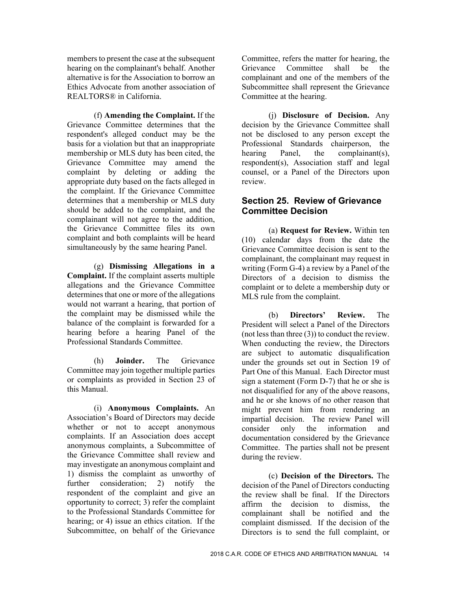members to present the case at the subsequent hearing on the complainant's behalf. Another alternative is for the Association to borrow an Ethics Advocate from another association of REALTORS® in California.

(f) **Amending the Complaint.** If the Grievance Committee determines that the respondent's alleged conduct may be the basis for a violation but that an inappropriate membership or MLS duty has been cited, the Grievance Committee may amend the complaint by deleting or adding the appropriate duty based on the facts alleged in the complaint. If the Grievance Committee determines that a membership or MLS duty should be added to the complaint, and the complainant will not agree to the addition, the Grievance Committee files its own complaint and both complaints will be heard simultaneously by the same hearing Panel.

(g) **Dismissing Allegations in a Complaint.** If the complaint asserts multiple allegations and the Grievance Committee determines that one or more of the allegations would not warrant a hearing, that portion of the complaint may be dismissed while the balance of the complaint is forwarded for a hearing before a hearing Panel of the Professional Standards Committee.

(h) **Joinder.** The Grievance Committee may join together multiple parties or complaints as provided in Section 23 of this Manual.

(i) **Anonymous Complaints.** An Association's Board of Directors may decide whether or not to accept anonymous complaints. If an Association does accept anonymous complaints, a Subcommittee of the Grievance Committee shall review and may investigate an anonymous complaint and 1) dismiss the complaint as unworthy of further consideration; 2) notify the respondent of the complaint and give an opportunity to correct; 3) refer the complaint to the Professional Standards Committee for hearing; or 4) issue an ethics citation. If the Subcommittee, on behalf of the Grievance

Committee, refers the matter for hearing, the Grievance Committee shall be the complainant and one of the members of the Subcommittee shall represent the Grievance Committee at the hearing.

(j) **Disclosure of Decision.** Any decision by the Grievance Committee shall not be disclosed to any person except the Professional Standards chairperson, the hearing Panel, the complainant(s), respondent(s), Association staff and legal counsel, or a Panel of the Directors upon review.

#### **Section 25. Review of Grievance Committee Decision**

(a) **Request for Review.** Within ten (10) calendar days from the date the Grievance Committee decision is sent to the complainant, the complainant may request in writing (Form G-4) a review by a Panel of the Directors of a decision to dismiss the complaint or to delete a membership duty or MLS rule from the complaint.

(b) **Directors' Review.** The President will select a Panel of the Directors (not less than three (3)) to conduct the review. When conducting the review, the Directors are subject to automatic disqualification under the grounds set out in Section 19 of Part One of this Manual. Each Director must sign a statement (Form D-7) that he or she is not disqualified for any of the above reasons, and he or she knows of no other reason that might prevent him from rendering an impartial decision. The review Panel will consider only the information and documentation considered by the Grievance Committee. The parties shall not be present during the review.

(c) **Decision of the Directors.** The decision of the Panel of Directors conducting the review shall be final. If the Directors affirm the decision to dismiss, the complainant shall be notified and the complaint dismissed. If the decision of the Directors is to send the full complaint, or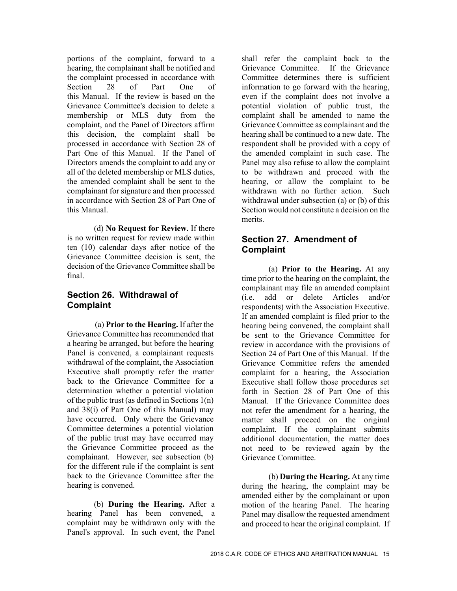portions of the complaint, forward to a hearing, the complainant shall be notified and the complaint processed in accordance with Section 28 of Part One of this Manual. If the review is based on the Grievance Committee's decision to delete a membership or MLS duty from the complaint, and the Panel of Directors affirm this decision, the complaint shall be processed in accordance with Section 28 of Part One of this Manual. If the Panel of Directors amends the complaint to add any or all of the deleted membership or MLS duties, the amended complaint shall be sent to the complainant for signature and then processed in accordance with Section 28 of Part One of this Manual.

(d) **No Request for Review.** If there is no written request for review made within ten (10) calendar days after notice of the Grievance Committee decision is sent, the decision of the Grievance Committee shall be final.

#### **Section 26. Withdrawal of Complaint**

(a) **Prior to the Hearing.** If after the Grievance Committee has recommended that a hearing be arranged, but before the hearing Panel is convened, a complainant requests withdrawal of the complaint, the Association Executive shall promptly refer the matter back to the Grievance Committee for a determination whether a potential violation of the public trust (as defined in Sections 1(n) and 38(i) of Part One of this Manual) may have occurred. Only where the Grievance Committee determines a potential violation of the public trust may have occurred may the Grievance Committee proceed as the complainant. However, see subsection (b) for the different rule if the complaint is sent back to the Grievance Committee after the hearing is convened.

(b) **During the Hearing.** After a hearing Panel has been convened, a complaint may be withdrawn only with the Panel's approval. In such event, the Panel

shall refer the complaint back to the Grievance Committee. If the Grievance Committee determines there is sufficient information to go forward with the hearing, even if the complaint does not involve a potential violation of public trust, the complaint shall be amended to name the Grievance Committee as complainant and the hearing shall be continued to a new date. The respondent shall be provided with a copy of the amended complaint in such case. The Panel may also refuse to allow the complaint to be withdrawn and proceed with the hearing, or allow the complaint to be withdrawn with no further action. Such withdrawal under subsection (a) or (b) of this Section would not constitute a decision on the merits.

#### **Section 27. Amendment of Complaint**

(a) **Prior to the Hearing.** At any time prior to the hearing on the complaint, the complainant may file an amended complaint (i.e. add or delete Articles and/or respondents) with the Association Executive. If an amended complaint is filed prior to the hearing being convened, the complaint shall be sent to the Grievance Committee for review in accordance with the provisions of Section 24 of Part One of this Manual. If the Grievance Committee refers the amended complaint for a hearing, the Association Executive shall follow those procedures set forth in Section 28 of Part One of this Manual. If the Grievance Committee does not refer the amendment for a hearing, the matter shall proceed on the original complaint. If the complainant submits additional documentation, the matter does not need to be reviewed again by the Grievance Committee.

(b) **During the Hearing.** At any time during the hearing, the complaint may be amended either by the complainant or upon motion of the hearing Panel. The hearing Panel may disallow the requested amendment and proceed to hear the original complaint. If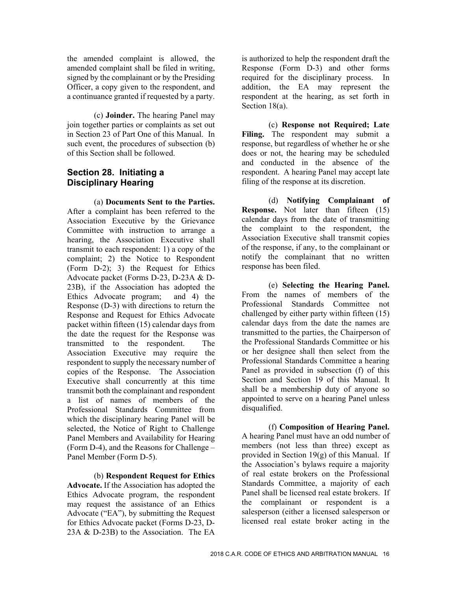the amended complaint is allowed, the amended complaint shall be filed in writing, signed by the complainant or by the Presiding Officer, a copy given to the respondent, and a continuance granted if requested by a party.

(c) **Joinder.** The hearing Panel may join together parties or complaints as set out in Section 23 of Part One of this Manual. In such event, the procedures of subsection (b) of this Section shall be followed.

# **Section 28. Initiating a Disciplinary Hearing**

(a) **Documents Sent to the Parties.**  After a complaint has been referred to the Association Executive by the Grievance Committee with instruction to arrange a hearing, the Association Executive shall transmit to each respondent: 1) a copy of the complaint; 2) the Notice to Respondent (Form D-2); 3) the Request for Ethics Advocate packet (Forms D-23, D-23A & D-23B), if the Association has adopted the Ethics Advocate program; and 4) the Response (D-3) with directions to return the Response and Request for Ethics Advocate packet within fifteen (15) calendar days from the date the request for the Response was transmitted to the respondent. The Association Executive may require the respondent to supply the necessary number of copies of the Response. The Association Executive shall concurrently at this time transmit both the complainant and respondent a list of names of members of the Professional Standards Committee from which the disciplinary hearing Panel will be selected, the Notice of Right to Challenge Panel Members and Availability for Hearing (Form D-4), and the Reasons for Challenge – Panel Member (Form D-5).

(b) **Respondent Request for Ethics Advocate.** If the Association has adopted the Ethics Advocate program, the respondent may request the assistance of an Ethics Advocate ("EA"), by submitting the Request for Ethics Advocate packet (Forms D-23, D-23A & D-23B) to the Association. The EA

is authorized to help the respondent draft the Response (Form D-3) and other forms required for the disciplinary process. In addition, the EA may represent the respondent at the hearing, as set forth in Section 18(a).

(c) **Response not Required; Late**  Filing. The respondent may submit a response, but regardless of whether he or she does or not, the hearing may be scheduled and conducted in the absence of the respondent. A hearing Panel may accept late filing of the response at its discretion.

(d) **Notifying Complainant of Response.** Not later than fifteen (15) calendar days from the date of transmitting the complaint to the respondent, the Association Executive shall transmit copies of the response, if any, to the complainant or notify the complainant that no written response has been filed.

(e) **Selecting the Hearing Panel.**  From the names of members of the Professional Standards Committee not challenged by either party within fifteen (15) calendar days from the date the names are transmitted to the parties, the Chairperson of the Professional Standards Committee or his or her designee shall then select from the Professional Standards Committee a hearing Panel as provided in subsection (f) of this Section and Section 19 of this Manual. It shall be a membership duty of anyone so appointed to serve on a hearing Panel unless disqualified.

(f) **Composition of Hearing Panel.**  A hearing Panel must have an odd number of members (not less than three) except as provided in Section  $19(g)$  of this Manual. If the Association's bylaws require a majority of real estate brokers on the Professional Standards Committee, a majority of each Panel shall be licensed real estate brokers. If the complainant or respondent is a salesperson (either a licensed salesperson or licensed real estate broker acting in the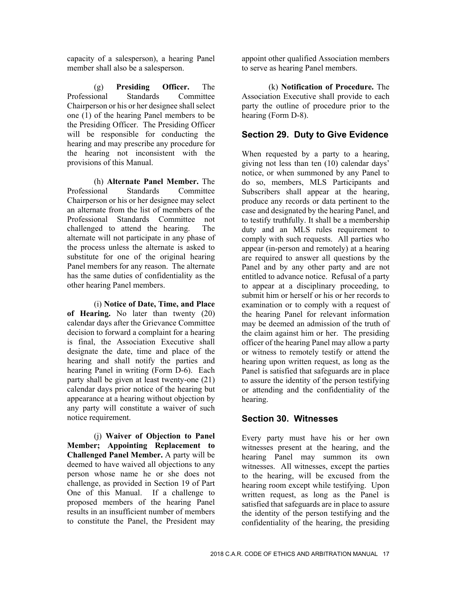capacity of a salesperson), a hearing Panel member shall also be a salesperson.

(g) **Presiding Officer.** The Professional Standards Committee Chairperson or his or her designee shall select one (1) of the hearing Panel members to be the Presiding Officer. The Presiding Officer will be responsible for conducting the hearing and may prescribe any procedure for the hearing not inconsistent with the provisions of this Manual.

(h) **Alternate Panel Member.** The Professional Standards Committee Chairperson or his or her designee may select an alternate from the list of members of the Professional Standards Committee not challenged to attend the hearing. The alternate will not participate in any phase of the process unless the alternate is asked to substitute for one of the original hearing Panel members for any reason. The alternate has the same duties of confidentiality as the other hearing Panel members.

(i) **Notice of Date, Time, and Place of Hearing.** No later than twenty (20) calendar days after the Grievance Committee decision to forward a complaint for a hearing is final, the Association Executive shall designate the date, time and place of the hearing and shall notify the parties and hearing Panel in writing (Form D-6). Each party shall be given at least twenty-one (21) calendar days prior notice of the hearing but appearance at a hearing without objection by any party will constitute a waiver of such notice requirement.

(j) **Waiver of Objection to Panel Member; Appointing Replacement to Challenged Panel Member.** A party will be deemed to have waived all objections to any person whose name he or she does not challenge, as provided in Section 19 of Part One of this Manual. If a challenge to proposed members of the hearing Panel results in an insufficient number of members to constitute the Panel, the President may

appoint other qualified Association members to serve as hearing Panel members.

(k) **Notification of Procedure.** The Association Executive shall provide to each party the outline of procedure prior to the hearing (Form D-8).

#### **Section 29. Duty to Give Evidence**

When requested by a party to a hearing, giving not less than ten (10) calendar days' notice, or when summoned by any Panel to do so, members, MLS Participants and Subscribers shall appear at the hearing, produce any records or data pertinent to the case and designated by the hearing Panel, and to testify truthfully. It shall be a membership duty and an MLS rules requirement to comply with such requests. All parties who appear (in-person and remotely) at a hearing are required to answer all questions by the Panel and by any other party and are not entitled to advance notice. Refusal of a party to appear at a disciplinary proceeding, to submit him or herself or his or her records to examination or to comply with a request of the hearing Panel for relevant information may be deemed an admission of the truth of the claim against him or her. The presiding officer of the hearing Panel may allow a party or witness to remotely testify or attend the hearing upon written request, as long as the Panel is satisfied that safeguards are in place to assure the identity of the person testifying or attending and the confidentiality of the hearing.

#### **Section 30. Witnesses**

Every party must have his or her own witnesses present at the hearing, and the hearing Panel may summon its own witnesses. All witnesses, except the parties to the hearing, will be excused from the hearing room except while testifying. Upon written request, as long as the Panel is satisfied that safeguards are in place to assure the identity of the person testifying and the confidentiality of the hearing, the presiding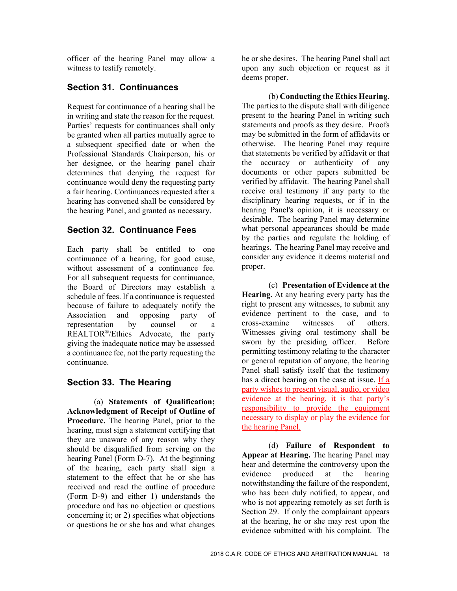officer of the hearing Panel may allow a witness to testify remotely.

# **Section 31. Continuances**

Request for continuance of a hearing shall be in writing and state the reason for the request. Parties' requests for continuances shall only be granted when all parties mutually agree to a subsequent specified date or when the Professional Standards Chairperson, his or her designee, or the hearing panel chair determines that denying the request for continuance would deny the requesting party a fair hearing. Continuances requested after a hearing has convened shall be considered by the hearing Panel, and granted as necessary.

# **Section 32. Continuance Fees**

Each party shall be entitled to one continuance of a hearing, for good cause, without assessment of a continuance fee. For all subsequent requests for continuance, the Board of Directors may establish a schedule of fees. If a continuance is requested because of failure to adequately notify the Association and opposing party of representation by counsel or a REALTOR®/Ethics Advocate, the party giving the inadequate notice may be assessed a continuance fee, not the party requesting the continuance.

# **Section 33. The Hearing**

(a) **Statements of Qualification; Acknowledgment of Receipt of Outline of Procedure.** The hearing Panel, prior to the hearing, must sign a statement certifying that they are unaware of any reason why they should be disqualified from serving on the hearing Panel (Form D-7). At the beginning of the hearing, each party shall sign a statement to the effect that he or she has received and read the outline of procedure (Form D-9) and either 1) understands the procedure and has no objection or questions concerning it; or 2) specifies what objections or questions he or she has and what changes

he or she desires. The hearing Panel shall act upon any such objection or request as it deems proper.

(b) **Conducting the Ethics Hearing.**  The parties to the dispute shall with diligence present to the hearing Panel in writing such statements and proofs as they desire. Proofs may be submitted in the form of affidavits or otherwise. The hearing Panel may require that statements be verified by affidavit or that the accuracy or authenticity of any documents or other papers submitted be verified by affidavit. The hearing Panel shall receive oral testimony if any party to the disciplinary hearing requests, or if in the hearing Panel's opinion, it is necessary or desirable. The hearing Panel may determine what personal appearances should be made by the parties and regulate the holding of hearings. The hearing Panel may receive and consider any evidence it deems material and proper.

(c) **Presentation of Evidence at the Hearing.** At any hearing every party has the right to present any witnesses, to submit any evidence pertinent to the case, and to cross-examine witnesses of others. Witnesses giving oral testimony shall be sworn by the presiding officer. Before permitting testimony relating to the character or general reputation of anyone, the hearing Panel shall satisfy itself that the testimony has a direct bearing on the case at issue. If a party wishes to present visual, audio, or video evidence at the hearing, it is that party's responsibility to provide the equipment necessary to display or play the evidence for the hearing Panel.

(d) **Failure of Respondent to Appear at Hearing.** The hearing Panel may hear and determine the controversy upon the evidence produced at the hearing notwithstanding the failure of the respondent, who has been duly notified, to appear, and who is not appearing remotely as set forth is Section 29. If only the complainant appears at the hearing, he or she may rest upon the evidence submitted with his complaint. The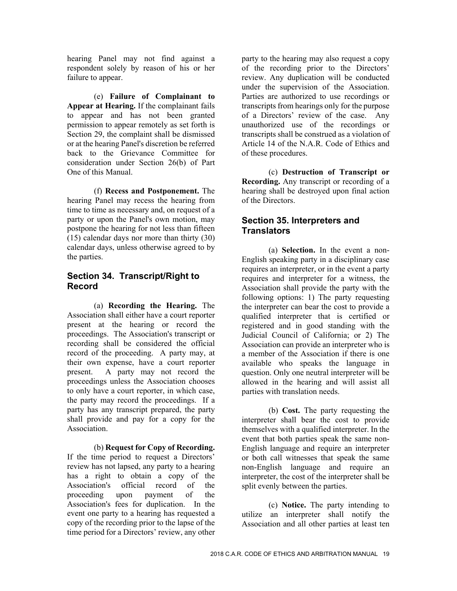hearing Panel may not find against a respondent solely by reason of his or her failure to appear.

(e) **Failure of Complainant to Appear at Hearing.** If the complainant fails to appear and has not been granted permission to appear remotely as set forth is Section 29, the complaint shall be dismissed or at the hearing Panel's discretion be referred back to the Grievance Committee for consideration under Section 26(b) of Part One of this Manual.

(f) **Recess and Postponement.** The hearing Panel may recess the hearing from time to time as necessary and, on request of a party or upon the Panel's own motion, may postpone the hearing for not less than fifteen (15) calendar days nor more than thirty (30) calendar days, unless otherwise agreed to by the parties.

#### **Section 34. Transcript/Right to Record**

(a) **Recording the Hearing.** The Association shall either have a court reporter present at the hearing or record the proceedings. The Association's transcript or recording shall be considered the official record of the proceeding. A party may, at their own expense, have a court reporter present. A party may not record the proceedings unless the Association chooses to only have a court reporter, in which case, the party may record the proceedings. If a party has any transcript prepared, the party shall provide and pay for a copy for the Association.

 (b) **Request for Copy of Recording.**  If the time period to request a Directors' review has not lapsed, any party to a hearing has a right to obtain a copy of the Association's official record of the proceeding upon payment of the Association's fees for duplication. In the event one party to a hearing has requested a copy of the recording prior to the lapse of the time period for a Directors' review, any other

party to the hearing may also request a copy of the recording prior to the Directors' review. Any duplication will be conducted under the supervision of the Association. Parties are authorized to use recordings or transcripts from hearings only for the purpose of a Directors' review of the case. Any unauthorized use of the recordings or transcripts shall be construed as a violation of Article 14 of the N.A.R. Code of Ethics and of these procedures.

(c) **Destruction of Transcript or Recording.** Any transcript or recording of a hearing shall be destroyed upon final action of the Directors.

# **Section 35. Interpreters and Translators**

(a) **Selection.** In the event a non-English speaking party in a disciplinary case requires an interpreter, or in the event a party requires and interpreter for a witness, the Association shall provide the party with the following options: 1) The party requesting the interpreter can bear the cost to provide a qualified interpreter that is certified or registered and in good standing with the Judicial Council of California; or 2) The Association can provide an interpreter who is a member of the Association if there is one available who speaks the language in question. Only one neutral interpreter will be allowed in the hearing and will assist all parties with translation needs.

(b) **Cost.** The party requesting the interpreter shall bear the cost to provide themselves with a qualified interpreter. In the event that both parties speak the same non-English language and require an interpreter or both call witnesses that speak the same non-English language and require an interpreter, the cost of the interpreter shall be split evenly between the parties.

(c) **Notice.** The party intending to utilize an interpreter shall notify the Association and all other parties at least ten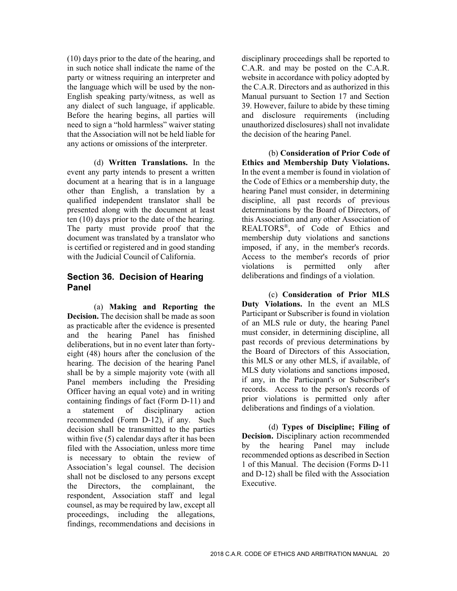(10) days prior to the date of the hearing, and in such notice shall indicate the name of the party or witness requiring an interpreter and the language which will be used by the non-English speaking party/witness, as well as any dialect of such language, if applicable. Before the hearing begins, all parties will need to sign a "hold harmless" waiver stating that the Association will not be held liable for any actions or omissions of the interpreter.

(d) **Written Translations.** In the event any party intends to present a written document at a hearing that is in a language other than English, a translation by a qualified independent translator shall be presented along with the document at least ten (10) days prior to the date of the hearing. The party must provide proof that the document was translated by a translator who is certified or registered and in good standing with the Judicial Council of California.

# **Section 36. Decision of Hearing Panel**

(a) **Making and Reporting the Decision.** The decision shall be made as soon as practicable after the evidence is presented and the hearing Panel has finished deliberations, but in no event later than fortyeight (48) hours after the conclusion of the hearing. The decision of the hearing Panel shall be by a simple majority vote (with all Panel members including the Presiding Officer having an equal vote) and in writing containing findings of fact (Form D-11) and a statement of disciplinary action recommended (Form D-12), if any. Such decision shall be transmitted to the parties within five (5) calendar days after it has been filed with the Association, unless more time is necessary to obtain the review of Association's legal counsel. The decision shall not be disclosed to any persons except the Directors, the complainant, the respondent, Association staff and legal counsel, as may be required by law, except all proceedings, including the allegations, findings, recommendations and decisions in

disciplinary proceedings shall be reported to C.A.R. and may be posted on the C.A.R. website in accordance with policy adopted by the C.A.R. Directors and as authorized in this Manual pursuant to Section 17 and Section 39. However, failure to abide by these timing and disclosure requirements (including unauthorized disclosures) shall not invalidate the decision of the hearing Panel.

(b) **Consideration of Prior Code of Ethics and Membership Duty Violations.**  In the event a member is found in violation of the Code of Ethics or a membership duty, the hearing Panel must consider, in determining discipline, all past records of previous determinations by the Board of Directors, of this Association and any other Association of REALTORS®, of Code of Ethics and membership duty violations and sanctions imposed, if any, in the member's records. Access to the member's records of prior violations is permitted only after deliberations and findings of a violation.

(c) **Consideration of Prior MLS Duty Violations.** In the event an MLS Participant or Subscriber is found in violation of an MLS rule or duty, the hearing Panel must consider, in determining discipline, all past records of previous determinations by the Board of Directors of this Association, this MLS or any other MLS, if available, of MLS duty violations and sanctions imposed, if any, in the Participant's or Subscriber's records. Access to the person's records of prior violations is permitted only after deliberations and findings of a violation.

(d) **Types of Discipline; Filing of Decision.** Disciplinary action recommended by the hearing Panel may include recommended options as described in Section 1 of this Manual. The decision (Forms D-11 and D-12) shall be filed with the Association Executive.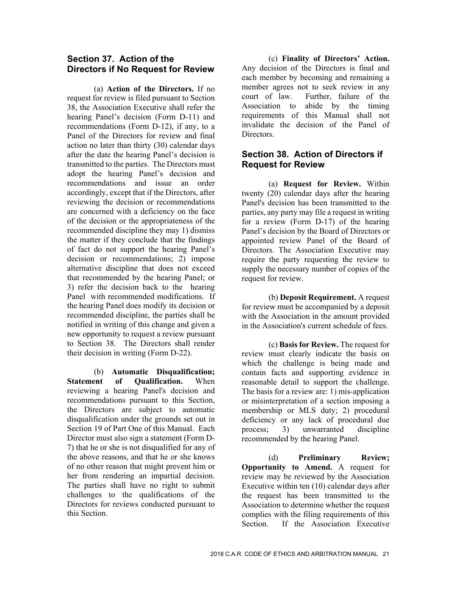#### **Section 37. Action of the Directors if No Request for Review**

(a) **Action of the Directors.** If no request for review is filed pursuant to Section 38, the Association Executive shall refer the hearing Panel's decision (Form D-11) and recommendations (Form D-12), if any, to a Panel of the Directors for review and final action no later than thirty (30) calendar days after the date the hearing Panel's decision is transmitted to the parties. The Directors must adopt the hearing Panel's decision and recommendations and issue an order accordingly, except that if the Directors, after reviewing the decision or recommendations are concerned with a deficiency on the face of the decision or the appropriateness of the recommended discipline they may 1) dismiss the matter if they conclude that the findings of fact do not support the hearing Panel's decision or recommendations; 2) impose alternative discipline that does not exceed that recommended by the hearing Panel; or 3) refer the decision back to the hearing Panel with recommended modifications. If the hearing Panel does modify its decision or recommended discipline, the parties shall be notified in writing of this change and given a new opportunity to request a review pursuant to Section 38. The Directors shall render their decision in writing (Form D-22).

(b) **Automatic Disqualification; Statement of Qualification.** When reviewing a hearing Panel's decision and recommendations pursuant to this Section, the Directors are subject to automatic disqualification under the grounds set out in Section 19 of Part One of this Manual. Each Director must also sign a statement (Form D-7) that he or she is not disqualified for any of the above reasons, and that he or she knows of no other reason that might prevent him or her from rendering an impartial decision. The parties shall have no right to submit challenges to the qualifications of the Directors for reviews conducted pursuant to this Section.

(c) **Finality of Directors' Action.**  Any decision of the Directors is final and each member by becoming and remaining a member agrees not to seek review in any court of law. Further, failure of the Association to abide by the timing requirements of this Manual shall not invalidate the decision of the Panel of Directors.

# **Section 38. Action of Directors if Request for Review**

(a) **Request for Review.** Within twenty (20) calendar days after the hearing Panel's decision has been transmitted to the parties, any party may file a request in writing for a review (Form D-17) of the hearing Panel's decision by the Board of Directors or appointed review Panel of the Board of Directors. The Association Executive may require the party requesting the review to supply the necessary number of copies of the request for review.

(b) **Deposit Requirement.** A request for review must be accompanied by a deposit with the Association in the amount provided in the Association's current schedule of fees.

(c) **Basis for Review.** The request for review must clearly indicate the basis on which the challenge is being made and contain facts and supporting evidence in reasonable detail to support the challenge. The basis for a review are: 1) mis-application or misinterpretation of a section imposing a membership or MLS duty; 2) procedural deficiency or any lack of procedural due process; 3) unwarranted discipline recommended by the hearing Panel.

(d) **Preliminary Review; Opportunity to Amend.** A request for review may be reviewed by the Association Executive within ten (10) calendar days after the request has been transmitted to the Association to determine whether the request complies with the filing requirements of this Section. If the Association Executive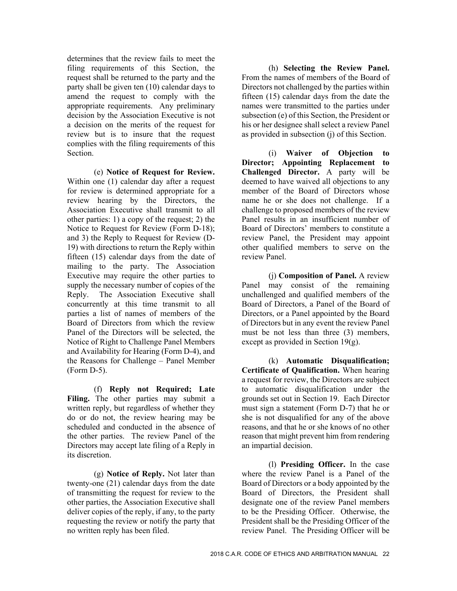determines that the review fails to meet the filing requirements of this Section, the request shall be returned to the party and the party shall be given ten (10) calendar days to amend the request to comply with the appropriate requirements. Any preliminary decision by the Association Executive is not a decision on the merits of the request for review but is to insure that the request complies with the filing requirements of this Section.

(e) **Notice of Request for Review.**  Within one (1) calendar day after a request for review is determined appropriate for a review hearing by the Directors, the Association Executive shall transmit to all other parties: 1) a copy of the request; 2) the Notice to Request for Review (Form D-18); and 3) the Reply to Request for Review (D-19) with directions to return the Reply within fifteen (15) calendar days from the date of mailing to the party. The Association Executive may require the other parties to supply the necessary number of copies of the Reply. The Association Executive shall concurrently at this time transmit to all parties a list of names of members of the Board of Directors from which the review Panel of the Directors will be selected, the Notice of Right to Challenge Panel Members and Availability for Hearing (Form D-4), and the Reasons for Challenge – Panel Member (Form D-5).

(f) **Reply not Required; Late**  Filing. The other parties may submit a written reply, but regardless of whether they do or do not, the review hearing may be scheduled and conducted in the absence of the other parties. The review Panel of the Directors may accept late filing of a Reply in its discretion.

(g) **Notice of Reply.** Not later than twenty-one (21) calendar days from the date of transmitting the request for review to the other parties, the Association Executive shall deliver copies of the reply, if any, to the party requesting the review or notify the party that no written reply has been filed.

(h) **Selecting the Review Panel.**  From the names of members of the Board of Directors not challenged by the parties within fifteen (15) calendar days from the date the names were transmitted to the parties under subsection (e) of this Section, the President or his or her designee shall select a review Panel as provided in subsection (j) of this Section.

(i) **Waiver of Objection to Director; Appointing Replacement to Challenged Director.** A party will be deemed to have waived all objections to any member of the Board of Directors whose name he or she does not challenge. If a challenge to proposed members of the review Panel results in an insufficient number of Board of Directors' members to constitute a review Panel, the President may appoint other qualified members to serve on the review Panel.

(j) **Composition of Panel.** A review Panel may consist of the remaining unchallenged and qualified members of the Board of Directors, a Panel of the Board of Directors, or a Panel appointed by the Board of Directors but in any event the review Panel must be not less than three (3) members, except as provided in Section 19(g).

(k) **Automatic Disqualification; Certificate of Qualification.** When hearing a request for review, the Directors are subject to automatic disqualification under the grounds set out in Section 19. Each Director must sign a statement (Form D-7) that he or she is not disqualified for any of the above reasons, and that he or she knows of no other reason that might prevent him from rendering an impartial decision.

(l) **Presiding Officer.** In the case where the review Panel is a Panel of the Board of Directors or a body appointed by the Board of Directors, the President shall designate one of the review Panel members to be the Presiding Officer. Otherwise, the President shall be the Presiding Officer of the review Panel. The Presiding Officer will be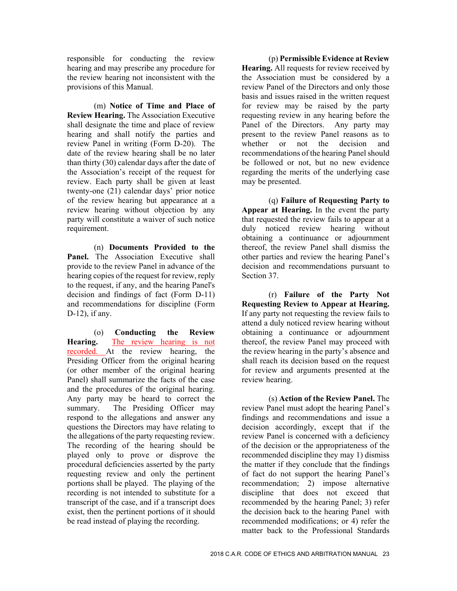responsible for conducting the review hearing and may prescribe any procedure for the review hearing not inconsistent with the provisions of this Manual.

(m) **Notice of Time and Place of Review Hearing.** The Association Executive shall designate the time and place of review hearing and shall notify the parties and review Panel in writing (Form D-20). The date of the review hearing shall be no later than thirty (30) calendar days after the date of the Association's receipt of the request for review. Each party shall be given at least twenty-one (21) calendar days' prior notice of the review hearing but appearance at a review hearing without objection by any party will constitute a waiver of such notice requirement.

(n) **Documents Provided to the Panel.** The Association Executive shall provide to the review Panel in advance of the hearing copies of the request for review, reply to the request, if any, and the hearing Panel's decision and findings of fact (Form D-11) and recommendations for discipline (Form D-12), if any.

(o) **Conducting the Review Hearing.** The review hearing is not recorded. At the review hearing, the Presiding Officer from the original hearing (or other member of the original hearing Panel) shall summarize the facts of the case and the procedures of the original hearing. Any party may be heard to correct the summary. The Presiding Officer may respond to the allegations and answer any questions the Directors may have relating to the allegations of the party requesting review. The recording of the hearing should be played only to prove or disprove the procedural deficiencies asserted by the party requesting review and only the pertinent portions shall be played. The playing of the recording is not intended to substitute for a transcript of the case, and if a transcript does exist, then the pertinent portions of it should be read instead of playing the recording.

(p) **Permissible Evidence at Review Hearing.** All requests for review received by the Association must be considered by a review Panel of the Directors and only those basis and issues raised in the written request for review may be raised by the party requesting review in any hearing before the Panel of the Directors. Any party may present to the review Panel reasons as to whether or not the decision and recommendations of the hearing Panel should be followed or not, but no new evidence regarding the merits of the underlying case may be presented.

(q) **Failure of Requesting Party to Appear at Hearing.** In the event the party that requested the review fails to appear at a duly noticed review hearing without obtaining a continuance or adjournment thereof, the review Panel shall dismiss the other parties and review the hearing Panel's decision and recommendations pursuant to Section 37.

(r) **Failure of the Party Not Requesting Review to Appear at Hearing.**  If any party not requesting the review fails to attend a duly noticed review hearing without obtaining a continuance or adjournment thereof, the review Panel may proceed with the review hearing in the party's absence and shall reach its decision based on the request for review and arguments presented at the review hearing.

(s) **Action of the Review Panel.** The review Panel must adopt the hearing Panel's findings and recommendations and issue a decision accordingly, except that if the review Panel is concerned with a deficiency of the decision or the appropriateness of the recommended discipline they may 1) dismiss the matter if they conclude that the findings of fact do not support the hearing Panel's recommendation; 2) impose alternative discipline that does not exceed that recommended by the hearing Panel; 3) refer the decision back to the hearing Panel with recommended modifications; or 4) refer the matter back to the Professional Standards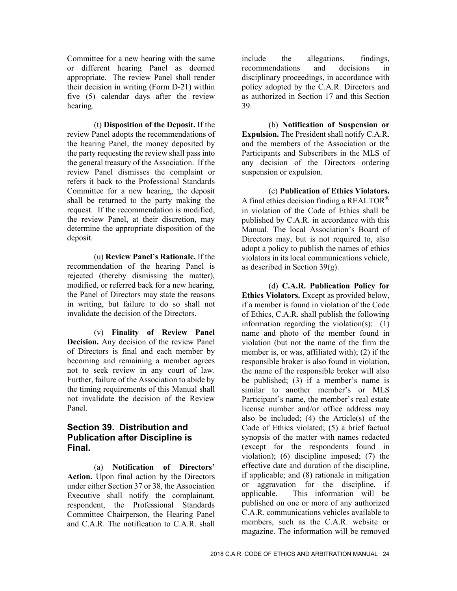Committee for a new hearing with the same or different hearing Panel as deemed appropriate. The review Panel shall render their decision in writing (Form D-21) within five (5) calendar days after the review hearing.

(t) **Disposition of the Deposit.** If the review Panel adopts the recommendations of the hearing Panel, the money deposited by the party requesting the review shall pass into the general treasury of the Association. If the review Panel dismisses the complaint or refers it back to the Professional Standards Committee for a new hearing, the deposit shall be returned to the party making the request. If the recommendation is modified, the review Panel, at their discretion, may determine the appropriate disposition of the deposit.

(u) **Review Panel's Rationale.** If the recommendation of the hearing Panel is rejected (thereby dismissing the matter), modified, or referred back for a new hearing, the Panel of Directors may state the reasons in writing, but failure to do so shall not invalidate the decision of the Directors.

(v) **Finality of Review Panel Decision.** Any decision of the review Panel of Directors is final and each member by becoming and remaining a member agrees not to seek review in any court of law. Further, failure of the Association to abide by the timing requirements of this Manual shall not invalidate the decision of the Review Panel.

#### **Section 39. Distribution and Publication after Discipline is Final.**

(a) **Notification of Directors' Action.** Upon final action by the Directors under either Section 37 or 38, the Association Executive shall notify the complainant, respondent, the Professional Standards Committee Chairperson, the Hearing Panel and C.A.R. The notification to C.A.R. shall

include the allegations, findings, recommendations and decisions in disciplinary proceedings, in accordance with policy adopted by the C.A.R. Directors and as authorized in Section 17 and this Section 39.

(b) **Notification of Suspension or Expulsion.** The President shall notify C.A.R. and the members of the Association or the Participants and Subscribers in the MLS of any decision of the Directors ordering suspension or expulsion.

(c) **Publication of Ethics Violators.**  A final ethics decision finding a REALTOR<sup>®</sup> in violation of the Code of Ethics shall be published by C.A.R. in accordance with this Manual. The local Association's Board of Directors may, but is not required to, also adopt a policy to publish the names of ethics violators in its local communications vehicle, as described in Section 39(g).

(d) **C.A.R. Publication Policy for Ethics Violators.** Except as provided below, if a member is found in violation of the Code of Ethics, C.A.R. shall publish the following information regarding the violation(s):  $(1)$ name and photo of the member found in violation (but not the name of the firm the member is, or was, affiliated with); (2) if the responsible broker is also found in violation, the name of the responsible broker will also be published; (3) if a member's name is similar to another member's or MLS Participant's name, the member's real estate license number and/or office address may also be included;  $(4)$  the Article $(s)$  of the Code of Ethics violated; (5) a brief factual synopsis of the matter with names redacted (except for the respondents found in violation); (6) discipline imposed; (7) the effective date and duration of the discipline, if applicable; and (8) rationale in mitigation or aggravation for the discipline, if applicable. This information will be published on one or more of any authorized C.A.R. communications vehicles available to members, such as the C.A.R. website or magazine. The information will be removed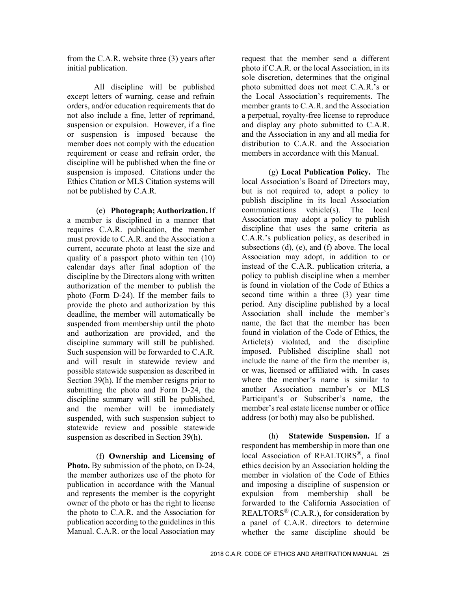from the C.A.R. website three (3) years after initial publication.

All discipline will be published except letters of warning, cease and refrain orders, and/or education requirements that do not also include a fine, letter of reprimand, suspension or expulsion. However, if a fine or suspension is imposed because the member does not comply with the education requirement or cease and refrain order, the discipline will be published when the fine or suspension is imposed. Citations under the Ethics Citation or MLS Citation systems will not be published by C.A.R.

(e) **Photograph; Authorization.** If a member is disciplined in a manner that requires C.A.R. publication, the member must provide to C.A.R. and the Association a current, accurate photo at least the size and quality of a passport photo within ten (10) calendar days after final adoption of the discipline by the Directors along with written authorization of the member to publish the photo (Form D-24). If the member fails to provide the photo and authorization by this deadline, the member will automatically be suspended from membership until the photo and authorization are provided, and the discipline summary will still be published. Such suspension will be forwarded to C.A.R. and will result in statewide review and possible statewide suspension as described in Section 39(h). If the member resigns prior to submitting the photo and Form D-24, the discipline summary will still be published, and the member will be immediately suspended, with such suspension subject to statewide review and possible statewide suspension as described in Section 39(h).

(f) **Ownership and Licensing of Photo.** By submission of the photo, on D-24, the member authorizes use of the photo for publication in accordance with the Manual and represents the member is the copyright owner of the photo or has the right to license the photo to C.A.R. and the Association for publication according to the guidelines in this Manual. C.A.R. or the local Association may

request that the member send a different photo if C.A.R. or the local Association, in its sole discretion, determines that the original photo submitted does not meet C.A.R.'s or the Local Association's requirements. The member grants to C.A.R. and the Association a perpetual, royalty-free license to reproduce and display any photo submitted to C.A.R. and the Association in any and all media for distribution to C.A.R. and the Association members in accordance with this Manual.

(g) **Local Publication Policy.** The local Association's Board of Directors may, but is not required to, adopt a policy to publish discipline in its local Association communications vehicle(s). The local Association may adopt a policy to publish discipline that uses the same criteria as C.A.R.'s publication policy, as described in subsections (d), (e), and (f) above. The local Association may adopt, in addition to or instead of the C.A.R. publication criteria, a policy to publish discipline when a member is found in violation of the Code of Ethics a second time within a three (3) year time period. Any discipline published by a local Association shall include the member's name, the fact that the member has been found in violation of the Code of Ethics, the Article(s) violated, and the discipline imposed. Published discipline shall not include the name of the firm the member is, or was, licensed or affiliated with. In cases where the member's name is similar to another Association member's or MLS Participant's or Subscriber's name, the member's real estate license number or office address (or both) may also be published.

(h) **Statewide Suspension.** If a respondent has membership in more than one local Association of REALTORS<sup>®</sup>, a final ethics decision by an Association holding the member in violation of the Code of Ethics and imposing a discipline of suspension or expulsion from membership shall be forwarded to the California Association of REALTORS<sup>®</sup> (C.A.R.), for consideration by a panel of C.A.R. directors to determine whether the same discipline should be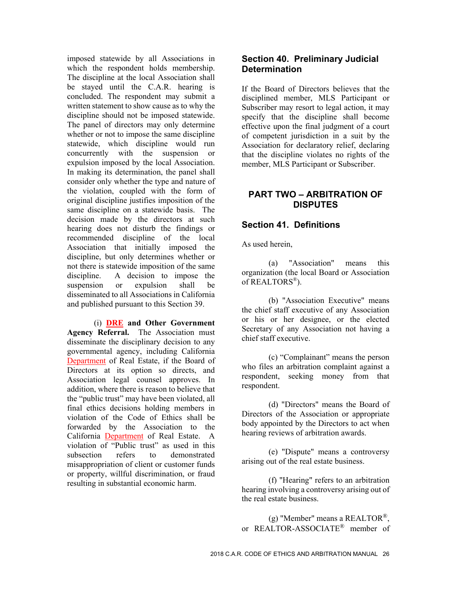imposed statewide by all Associations in which the respondent holds membership. The discipline at the local Association shall be stayed until the C.A.R. hearing is concluded. The respondent may submit a written statement to show cause as to why the discipline should not be imposed statewide. The panel of directors may only determine whether or not to impose the same discipline statewide, which discipline would run concurrently with the suspension or expulsion imposed by the local Association. In making its determination, the panel shall consider only whether the type and nature of the violation, coupled with the form of original discipline justifies imposition of the same discipline on a statewide basis. The decision made by the directors at such hearing does not disturb the findings or recommended discipline of the local Association that initially imposed the discipline, but only determines whether or not there is statewide imposition of the same discipline. A decision to impose the suspension or expulsion shall be disseminated to all Associations in California and published pursuant to this Section 39.

(i) **DRE and Other Government Agency Referral.** The Association must disseminate the disciplinary decision to any governmental agency, including California Department of Real Estate, if the Board of Directors at its option so directs, and Association legal counsel approves. In addition, where there is reason to believe that the "public trust" may have been violated, all final ethics decisions holding members in violation of the Code of Ethics shall be forwarded by the Association to the California Department of Real Estate. A violation of "Public trust" as used in this subsection refers to demonstrated misappropriation of client or customer funds or property, willful discrimination, or fraud resulting in substantial economic harm.

#### **Section 40. Preliminary Judicial Determination**

If the Board of Directors believes that the disciplined member, MLS Participant or Subscriber may resort to legal action, it may specify that the discipline shall become effective upon the final judgment of a court of competent jurisdiction in a suit by the Association for declaratory relief, declaring that the discipline violates no rights of the member, MLS Participant or Subscriber.

#### **PART TWO – ARBITRATION OF DISPUTES**

#### **Section 41. Definitions**

As used herein,

(a) "Association" means this organization (the local Board or Association of REALTORS®).

(b) "Association Executive" means the chief staff executive of any Association or his or her designee, or the elected Secretary of any Association not having a chief staff executive.

(c) "Complainant" means the person who files an arbitration complaint against a respondent, seeking money from that respondent.

(d) "Directors" means the Board of Directors of the Association or appropriate body appointed by the Directors to act when hearing reviews of arbitration awards.

(e) "Dispute" means a controversy arising out of the real estate business.

(f) "Hearing" refers to an arbitration hearing involving a controversy arising out of the real estate business.

(g) "Member" means a REALTOR®, or REALTOR-ASSOCIATE® member of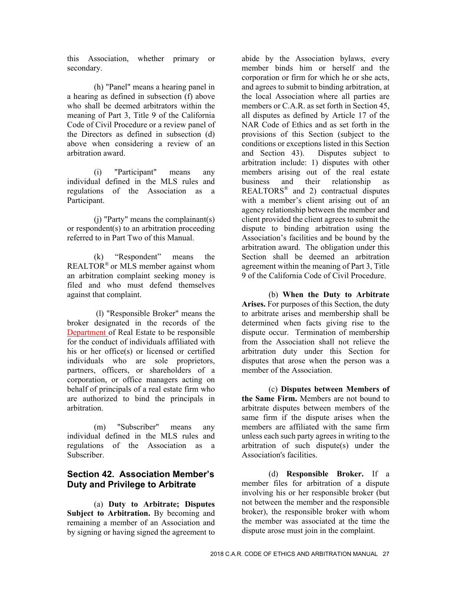this Association, whether primary or secondary.

(h) "Panel" means a hearing panel in a hearing as defined in subsection (f) above who shall be deemed arbitrators within the meaning of Part 3, Title 9 of the California Code of Civil Procedure or a review panel of the Directors as defined in subsection (d) above when considering a review of an arbitration award.

(i) "Participant" means any individual defined in the MLS rules and regulations of the Association as a Participant.

(j) "Party" means the complainant(s) or respondent(s) to an arbitration proceeding referred to in Part Two of this Manual.

(k) "Respondent" means the REALTOR® or MLS member against whom an arbitration complaint seeking money is filed and who must defend themselves against that complaint.

 (l) "Responsible Broker" means the broker designated in the records of the Department of Real Estate to be responsible for the conduct of individuals affiliated with his or her office(s) or licensed or certified individuals who are sole proprietors, partners, officers, or shareholders of a corporation, or office managers acting on behalf of principals of a real estate firm who are authorized to bind the principals in arbitration.

(m) "Subscriber" means any individual defined in the MLS rules and regulations of the Association as a Subscriber.

# **Section 42. Association Member's Duty and Privilege to Arbitrate**

(a) **Duty to Arbitrate; Disputes**  Subject to Arbitration. By becoming and remaining a member of an Association and by signing or having signed the agreement to

abide by the Association bylaws, every member binds him or herself and the corporation or firm for which he or she acts, and agrees to submit to binding arbitration, at the local Association where all parties are members or C.A.R. as set forth in Section 45, all disputes as defined by Article 17 of the NAR Code of Ethics and as set forth in the provisions of this Section (subject to the conditions or exceptions listed in this Section and Section 43). Disputes subject to arbitration include: 1) disputes with other members arising out of the real estate business and their relationship as REALTORS® and 2) contractual disputes with a member's client arising out of an agency relationship between the member and client provided the client agrees to submit the dispute to binding arbitration using the Association's facilities and be bound by the arbitration award. The obligation under this Section shall be deemed an arbitration agreement within the meaning of Part 3, Title 9 of the California Code of Civil Procedure.

(b) **When the Duty to Arbitrate Arises.** For purposes of this Section, the duty to arbitrate arises and membership shall be determined when facts giving rise to the dispute occur. Termination of membership from the Association shall not relieve the arbitration duty under this Section for disputes that arose when the person was a member of the Association.

(c) **Disputes between Members of the Same Firm.** Members are not bound to arbitrate disputes between members of the same firm if the dispute arises when the members are affiliated with the same firm unless each such party agrees in writing to the arbitration of such dispute(s) under the Association's facilities.

(d) **Responsible Broker.** If a member files for arbitration of a dispute involving his or her responsible broker (but not between the member and the responsible broker), the responsible broker with whom the member was associated at the time the dispute arose must join in the complaint.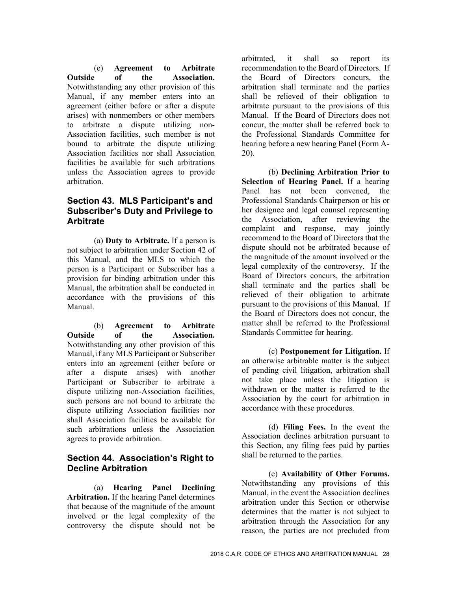(e) **Agreement to Arbitrate Outside of the Association.**  Notwithstanding any other provision of this Manual, if any member enters into an agreement (either before or after a dispute arises) with nonmembers or other members to arbitrate a dispute utilizing non-Association facilities, such member is not bound to arbitrate the dispute utilizing Association facilities nor shall Association facilities be available for such arbitrations unless the Association agrees to provide arbitration.

# **Section 43. MLS Participant's and Subscriber's Duty and Privilege to Arbitrate**

(a) **Duty to Arbitrate.** If a person is not subject to arbitration under Section 42 of this Manual, and the MLS to which the person is a Participant or Subscriber has a provision for binding arbitration under this Manual, the arbitration shall be conducted in accordance with the provisions of this Manual.

(b) **Agreement to Arbitrate Outside of the Association.**  Notwithstanding any other provision of this Manual, if any MLS Participant or Subscriber enters into an agreement (either before or after a dispute arises) with another Participant or Subscriber to arbitrate a dispute utilizing non-Association facilities, such persons are not bound to arbitrate the dispute utilizing Association facilities nor shall Association facilities be available for such arbitrations unless the Association agrees to provide arbitration.

#### **Section 44. Association's Right to Decline Arbitration**

(a) **Hearing Panel Declining Arbitration.** If the hearing Panel determines that because of the magnitude of the amount involved or the legal complexity of the controversy the dispute should not be

arbitrated, it shall so report its recommendation to the Board of Directors. If the Board of Directors concurs, the arbitration shall terminate and the parties shall be relieved of their obligation to arbitrate pursuant to the provisions of this Manual. If the Board of Directors does not concur, the matter shall be referred back to the Professional Standards Committee for hearing before a new hearing Panel (Form A-20).

(b) **Declining Arbitration Prior to Selection of Hearing Panel.** If a hearing Panel has not been convened, the Professional Standards Chairperson or his or her designee and legal counsel representing the Association, after reviewing the complaint and response, may jointly recommend to the Board of Directors that the dispute should not be arbitrated because of the magnitude of the amount involved or the legal complexity of the controversy. If the Board of Directors concurs, the arbitration shall terminate and the parties shall be relieved of their obligation to arbitrate pursuant to the provisions of this Manual. If the Board of Directors does not concur, the matter shall be referred to the Professional Standards Committee for hearing.

(c) **Postponement for Litigation.** If an otherwise arbitrable matter is the subject of pending civil litigation, arbitration shall not take place unless the litigation is withdrawn or the matter is referred to the Association by the court for arbitration in accordance with these procedures.

(d) **Filing Fees.** In the event the Association declines arbitration pursuant to this Section, any filing fees paid by parties shall be returned to the parties.

(e) **Availability of Other Forums.**  Notwithstanding any provisions of this Manual, in the event the Association declines arbitration under this Section or otherwise determines that the matter is not subject to arbitration through the Association for any reason, the parties are not precluded from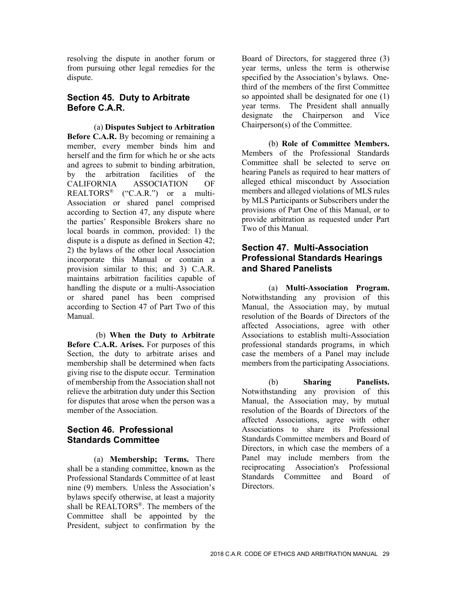resolving the dispute in another forum or from pursuing other legal remedies for the dispute.

#### **Section 45. Duty to Arbitrate Before C.A.R.**

(a) **Disputes Subject to Arbitration Before C.A.R.** By becoming or remaining a member, every member binds him and herself and the firm for which he or she acts and agrees to submit to binding arbitration, by the arbitration facilities of the CALIFORNIA ASSOCIATION OF REALTORS® ("C.A.R.") or a multi-Association or shared panel comprised according to Section 47, any dispute where the parties' Responsible Brokers share no local boards in common, provided: 1) the dispute is a dispute as defined in Section 42; 2) the bylaws of the other local Association incorporate this Manual or contain a provision similar to this; and 3) C.A.R. maintains arbitration facilities capable of handling the dispute or a multi-Association or shared panel has been comprised according to Section 47 of Part Two of this Manual.

 (b) **When the Duty to Arbitrate Before C.A.R. Arises.** For purposes of this Section, the duty to arbitrate arises and membership shall be determined when facts giving rise to the dispute occur. Termination of membership from the Association shall not relieve the arbitration duty under this Section for disputes that arose when the person was a member of the Association.

# **Section 46. Professional Standards Committee**

(a) **Membership; Terms.** There shall be a standing committee, known as the Professional Standards Committee of at least nine (9) members. Unless the Association's bylaws specify otherwise, at least a majority shall be REALTORS®. The members of the Committee shall be appointed by the President, subject to confirmation by the

Board of Directors, for staggered three (3) year terms, unless the term is otherwise specified by the Association's bylaws. Onethird of the members of the first Committee so appointed shall be designated for one (1) year terms. The President shall annually designate the Chairperson and Vice Chairperson(s) of the Committee.

(b) **Role of Committee Members.**  Members of the Professional Standards Committee shall be selected to serve on hearing Panels as required to hear matters of alleged ethical misconduct by Association members and alleged violations of MLS rules by MLS Participants or Subscribers under the provisions of Part One of this Manual, or to provide arbitration as requested under Part Two of this Manual.

#### **Section 47. Multi-Association Professional Standards Hearings and Shared Panelists**

(a) **Multi-Association Program.**  Notwithstanding any provision of this Manual, the Association may, by mutual resolution of the Boards of Directors of the affected Associations, agree with other Associations to establish multi-Association professional standards programs, in which case the members of a Panel may include members from the participating Associations.

(b) **Sharing Panelists.**  Notwithstanding any provision of this Manual, the Association may, by mutual resolution of the Boards of Directors of the affected Associations, agree with other Associations to share its Professional Standards Committee members and Board of Directors, in which case the members of a Panel may include members from the reciprocating Association's Professional Standards Committee and Board of Directors.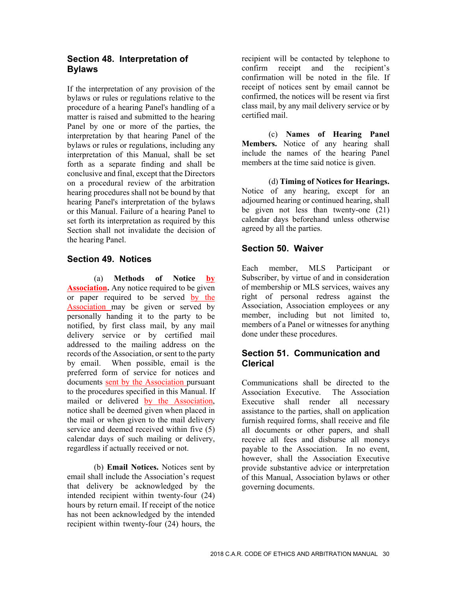# **Section 48. Interpretation of Bylaws**

If the interpretation of any provision of the bylaws or rules or regulations relative to the procedure of a hearing Panel's handling of a matter is raised and submitted to the hearing Panel by one or more of the parties, the interpretation by that hearing Panel of the bylaws or rules or regulations, including any interpretation of this Manual, shall be set forth as a separate finding and shall be conclusive and final, except that the Directors on a procedural review of the arbitration hearing procedures shall not be bound by that hearing Panel's interpretation of the bylaws or this Manual. Failure of a hearing Panel to set forth its interpretation as required by this Section shall not invalidate the decision of the hearing Panel.

# **Section 49. Notices**

(a) **Methods of Notice by Association.** Any notice required to be given or paper required to be served by the Association may be given or served by personally handing it to the party to be notified, by first class mail, by any mail delivery service or by certified mail addressed to the mailing address on the records of the Association, or sent to the party by email. When possible, email is the preferred form of service for notices and documents sent by the Association pursuant to the procedures specified in this Manual. If mailed or delivered by the Association, notice shall be deemed given when placed in the mail or when given to the mail delivery service and deemed received within five (5) calendar days of such mailing or delivery, regardless if actually received or not.

(b) **Email Notices.** Notices sent by email shall include the Association's request that delivery be acknowledged by the intended recipient within twenty-four (24) hours by return email. If receipt of the notice has not been acknowledged by the intended recipient within twenty-four (24) hours, the

recipient will be contacted by telephone to confirm receipt and the recipient's confirmation will be noted in the file. If receipt of notices sent by email cannot be confirmed, the notices will be resent via first class mail, by any mail delivery service or by certified mail.

(c) **Names of Hearing Panel Members.** Notice of any hearing shall include the names of the hearing Panel members at the time said notice is given.

(d) **Timing of Notices for Hearings.**  Notice of any hearing, except for an adjourned hearing or continued hearing, shall be given not less than twenty-one (21) calendar days beforehand unless otherwise agreed by all the parties.

# **Section 50. Waiver**

Each member, MLS Participant or Subscriber, by virtue of and in consideration of membership or MLS services, waives any right of personal redress against the Association, Association employees or any member, including but not limited to, members of a Panel or witnesses for anything done under these procedures.

# **Section 51. Communication and Clerical**

Communications shall be directed to the Association Executive. The Association Executive shall render all necessary assistance to the parties, shall on application furnish required forms, shall receive and file all documents or other papers, and shall receive all fees and disburse all moneys payable to the Association. In no event, however, shall the Association Executive provide substantive advice or interpretation of this Manual, Association bylaws or other governing documents.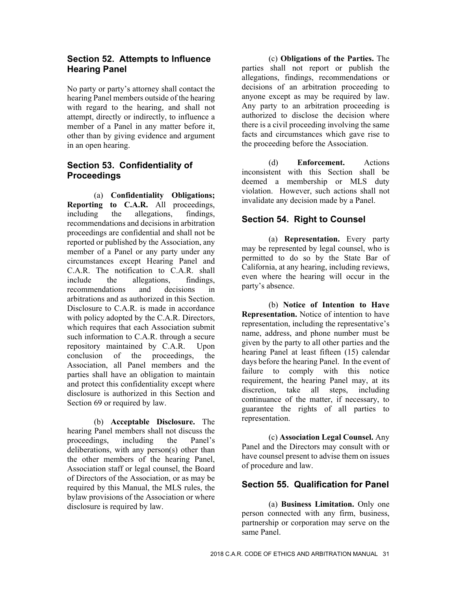#### **Section 52. Attempts to Influence Hearing Panel**

No party or party's attorney shall contact the hearing Panel members outside of the hearing with regard to the hearing, and shall not attempt, directly or indirectly, to influence a member of a Panel in any matter before it, other than by giving evidence and argument in an open hearing.

# **Section 53. Confidentiality of Proceedings**

(a) **Confidentiality Obligations; Reporting to C.A.R.** All proceedings, including the allegations, findings, including the allegations, recommendations and decisions in arbitration proceedings are confidential and shall not be reported or published by the Association, any member of a Panel or any party under any circumstances except Hearing Panel and C.A.R. The notification to C.A.R. shall include the allegations, findings, recommendations and decisions in arbitrations and as authorized in this Section. Disclosure to C.A.R. is made in accordance with policy adopted by the C.A.R. Directors, which requires that each Association submit such information to C.A.R. through a secure repository maintained by C.A.R. Upon conclusion of the proceedings, the Association, all Panel members and the parties shall have an obligation to maintain and protect this confidentiality except where disclosure is authorized in this Section and Section 69 or required by law.

(b) **Acceptable Disclosure.** The hearing Panel members shall not discuss the proceedings, including the Panel's deliberations, with any person(s) other than the other members of the hearing Panel, Association staff or legal counsel, the Board of Directors of the Association, or as may be required by this Manual, the MLS rules, the bylaw provisions of the Association or where disclosure is required by law.

(c) **Obligations of the Parties.** The parties shall not report or publish the allegations, findings, recommendations or decisions of an arbitration proceeding to anyone except as may be required by law. Any party to an arbitration proceeding is authorized to disclose the decision where there is a civil proceeding involving the same facts and circumstances which gave rise to the proceeding before the Association.

(d) **Enforcement.** Actions inconsistent with this Section shall be deemed a membership or MLS duty violation. However, such actions shall not invalidate any decision made by a Panel.

# **Section 54. Right to Counsel**

(a) **Representation.** Every party may be represented by legal counsel, who is permitted to do so by the State Bar of California, at any hearing, including reviews, even where the hearing will occur in the party's absence.

(b) **Notice of Intention to Have Representation.** Notice of intention to have representation, including the representative's name, address, and phone number must be given by the party to all other parties and the hearing Panel at least fifteen (15) calendar days before the hearing Panel. In the event of failure to comply with this notice requirement, the hearing Panel may, at its discretion, take all steps, including continuance of the matter, if necessary, to guarantee the rights of all parties to representation.

(c) **Association Legal Counsel.** Any Panel and the Directors may consult with or have counsel present to advise them on issues of procedure and law.

# **Section 55. Qualification for Panel**

(a) **Business Limitation.** Only one person connected with any firm, business, partnership or corporation may serve on the same Panel.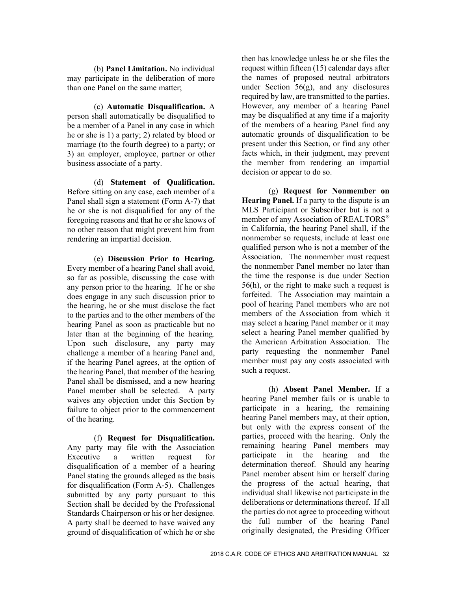(b) **Panel Limitation.** No individual may participate in the deliberation of more than one Panel on the same matter;

(c) **Automatic Disqualification.** A person shall automatically be disqualified to be a member of a Panel in any case in which he or she is 1) a party; 2) related by blood or marriage (to the fourth degree) to a party; or 3) an employer, employee, partner or other business associate of a party.

(d) **Statement of Qualification.**  Before sitting on any case, each member of a Panel shall sign a statement (Form A-7) that he or she is not disqualified for any of the foregoing reasons and that he or she knows of no other reason that might prevent him from rendering an impartial decision.

(e) **Discussion Prior to Hearing.**  Every member of a hearing Panel shall avoid, so far as possible, discussing the case with any person prior to the hearing. If he or she does engage in any such discussion prior to the hearing, he or she must disclose the fact to the parties and to the other members of the hearing Panel as soon as practicable but no later than at the beginning of the hearing. Upon such disclosure, any party may challenge a member of a hearing Panel and, if the hearing Panel agrees, at the option of the hearing Panel, that member of the hearing Panel shall be dismissed, and a new hearing Panel member shall be selected. A party waives any objection under this Section by failure to object prior to the commencement of the hearing.

(f) **Request for Disqualification.**  Any party may file with the Association Executive a written request for disqualification of a member of a hearing Panel stating the grounds alleged as the basis for disqualification (Form A-5). Challenges submitted by any party pursuant to this Section shall be decided by the Professional Standards Chairperson or his or her designee. A party shall be deemed to have waived any ground of disqualification of which he or she

then has knowledge unless he or she files the request within fifteen (15) calendar days after the names of proposed neutral arbitrators under Section  $56(g)$ , and any disclosures required by law, are transmitted to the parties. However, any member of a hearing Panel may be disqualified at any time if a majority of the members of a hearing Panel find any automatic grounds of disqualification to be present under this Section, or find any other facts which, in their judgment, may prevent the member from rendering an impartial decision or appear to do so.

(g) **Request for Nonmember on Hearing Panel.** If a party to the dispute is an MLS Participant or Subscriber but is not a member of any Association of REALTORS® in California, the hearing Panel shall, if the nonmember so requests, include at least one qualified person who is not a member of the Association. The nonmember must request the nonmember Panel member no later than the time the response is due under Section 56(h), or the right to make such a request is forfeited. The Association may maintain a pool of hearing Panel members who are not members of the Association from which it may select a hearing Panel member or it may select a hearing Panel member qualified by the American Arbitration Association. The party requesting the nonmember Panel member must pay any costs associated with such a request.

(h) **Absent Panel Member.** If a hearing Panel member fails or is unable to participate in a hearing, the remaining hearing Panel members may, at their option, but only with the express consent of the parties, proceed with the hearing. Only the remaining hearing Panel members may participate in the hearing and the determination thereof. Should any hearing Panel member absent him or herself during the progress of the actual hearing, that individual shall likewise not participate in the deliberations or determinations thereof. If all the parties do not agree to proceeding without the full number of the hearing Panel originally designated, the Presiding Officer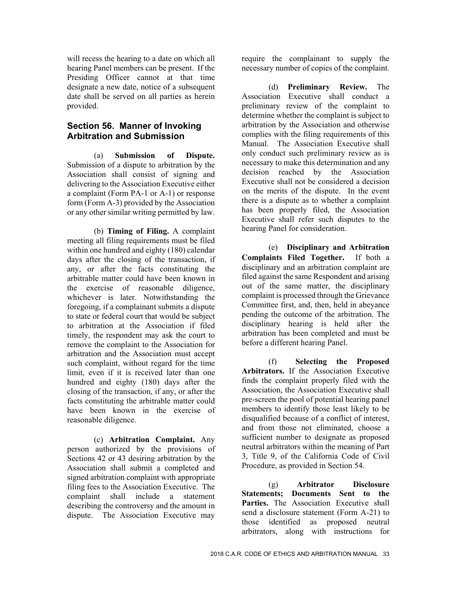will recess the hearing to a date on which all hearing Panel members can be present. If the Presiding Officer cannot at that time designate a new date, notice of a subsequent date shall be served on all parties as herein provided.

#### **Section 56. Manner of Invoking Arbitration and Submission**

(a) **Submission of Dispute.**  Submission of a dispute to arbitration by the Association shall consist of signing and delivering to the Association Executive either a complaint (Form PA-1 or A-1) or response form (Form A-3) provided by the Association or any other similar writing permitted by law.

(b) **Timing of Filing.** A complaint meeting all filing requirements must be filed within one hundred and eighty (180) calendar days after the closing of the transaction, if any, or after the facts constituting the arbitrable matter could have been known in the exercise of reasonable diligence, whichever is later. Notwithstanding the foregoing, if a complainant submits a dispute to state or federal court that would be subject to arbitration at the Association if filed timely, the respondent may ask the court to remove the complaint to the Association for arbitration and the Association must accept such complaint, without regard for the time limit, even if it is received later than one hundred and eighty (180) days after the closing of the transaction, if any, or after the facts constituting the arbitrable matter could have been known in the exercise of reasonable diligence.

(c) **Arbitration Complaint.** Any person authorized by the provisions of Sections 42 or 43 desiring arbitration by the Association shall submit a completed and signed arbitration complaint with appropriate filing fees to the Association Executive. The complaint shall include a statement describing the controversy and the amount in dispute. The Association Executive may

require the complainant to supply the necessary number of copies of the complaint.

(d) **Preliminary Review.** The Association Executive shall conduct a preliminary review of the complaint to determine whether the complaint is subject to arbitration by the Association and otherwise complies with the filing requirements of this Manual. The Association Executive shall only conduct such preliminary review as is necessary to make this determination and any decision reached by the Association Executive shall not be considered a decision on the merits of the dispute. In the event there is a dispute as to whether a complaint has been properly filed, the Association Executive shall refer such disputes to the hearing Panel for consideration.

(e) **Disciplinary and Arbitration Complaints Filed Together.** If both a disciplinary and an arbitration complaint are filed against the same Respondent and arising out of the same matter, the disciplinary complaint is processed through the Grievance Committee first, and, then, held in abeyance pending the outcome of the arbitration. The disciplinary hearing is held after the arbitration has been completed and must be before a different hearing Panel.

(f) **Selecting the Proposed Arbitrators.** If the Association Executive finds the complaint properly filed with the Association, the Association Executive shall pre-screen the pool of potential hearing panel members to identify those least likely to be disqualified because of a conflict of interest, and from those not eliminated, choose a sufficient number to designate as proposed neutral arbitrators within the meaning of Part 3, Title 9, of the California Code of Civil Procedure, as provided in Section 54.

 (g) **Arbitrator Disclosure Statements; Documents Sent to the**  Parties. The Association Executive shall send a disclosure statement (Form A-21) to those identified as proposed neutral arbitrators, along with instructions for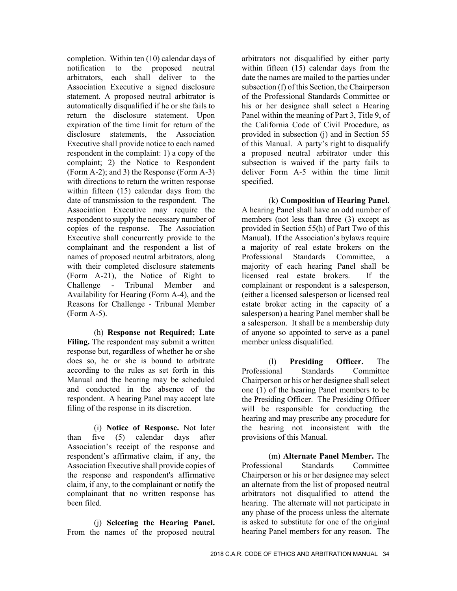completion. Within ten (10) calendar days of notification to the proposed neutral arbitrators, each shall deliver to the Association Executive a signed disclosure statement. A proposed neutral arbitrator is automatically disqualified if he or she fails to return the disclosure statement. Upon expiration of the time limit for return of the disclosure statements, the Association Executive shall provide notice to each named respondent in the complaint: 1) a copy of the complaint; 2) the Notice to Respondent (Form A-2); and 3) the Response (Form A-3) with directions to return the written response within fifteen (15) calendar days from the date of transmission to the respondent. The Association Executive may require the respondent to supply the necessary number of copies of the response. The Association Executive shall concurrently provide to the complainant and the respondent a list of names of proposed neutral arbitrators, along with their completed disclosure statements (Form A-21), the Notice of Right to Challenge - Tribunal Member and Availability for Hearing (Form A-4), and the Reasons for Challenge - Tribunal Member (Form A-5).

(h) **Response not Required; Late Filing.** The respondent may submit a written response but, regardless of whether he or she does so, he or she is bound to arbitrate according to the rules as set forth in this Manual and the hearing may be scheduled and conducted in the absence of the respondent. A hearing Panel may accept late filing of the response in its discretion.

(i) **Notice of Response.** Not later than five (5) calendar days after Association's receipt of the response and respondent's affirmative claim, if any, the Association Executive shall provide copies of the response and respondent's affirmative claim, if any, to the complainant or notify the complainant that no written response has been filed.

(j) **Selecting the Hearing Panel.**  From the names of the proposed neutral arbitrators not disqualified by either party within fifteen (15) calendar days from the date the names are mailed to the parties under subsection (f) of this Section, the Chairperson of the Professional Standards Committee or his or her designee shall select a Hearing Panel within the meaning of Part 3, Title 9, of the California Code of Civil Procedure, as provided in subsection (j) and in Section 55 of this Manual. A party's right to disqualify a proposed neutral arbitrator under this subsection is waived if the party fails to deliver Form A-5 within the time limit specified.

(k) **Composition of Hearing Panel.**  A hearing Panel shall have an odd number of members (not less than three (3) except as provided in Section 55(h) of Part Two of this Manual). If the Association's bylaws require a majority of real estate brokers on the Professional Standards Committee, a majority of each hearing Panel shall be licensed real estate brokers. If the complainant or respondent is a salesperson, (either a licensed salesperson or licensed real estate broker acting in the capacity of a salesperson) a hearing Panel member shall be a salesperson. It shall be a membership duty of anyone so appointed to serve as a panel member unless disqualified.

(l) **Presiding Officer.** The Professional Standards Committee Chairperson or his or her designee shall select one (1) of the hearing Panel members to be the Presiding Officer. The Presiding Officer will be responsible for conducting the hearing and may prescribe any procedure for the hearing not inconsistent with the provisions of this Manual.

(m) **Alternate Panel Member.** The Professional Standards Committee Chairperson or his or her designee may select an alternate from the list of proposed neutral arbitrators not disqualified to attend the hearing. The alternate will not participate in any phase of the process unless the alternate is asked to substitute for one of the original hearing Panel members for any reason. The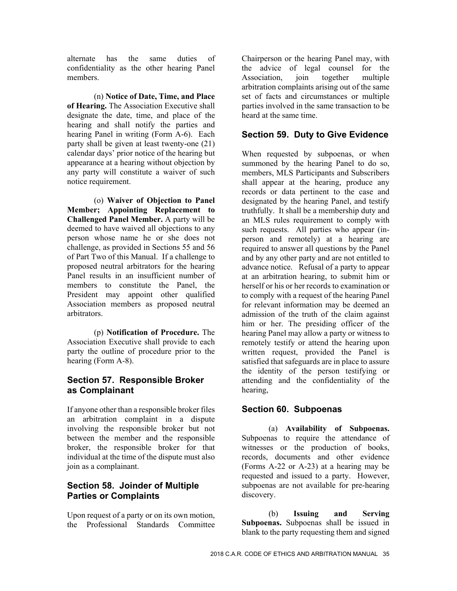alternate has the same duties of confidentiality as the other hearing Panel members.

(n) **Notice of Date, Time, and Place of Hearing.** The Association Executive shall designate the date, time, and place of the hearing and shall notify the parties and hearing Panel in writing (Form A-6). Each party shall be given at least twenty-one (21) calendar days' prior notice of the hearing but appearance at a hearing without objection by any party will constitute a waiver of such notice requirement.

(o) **Waiver of Objection to Panel Member; Appointing Replacement to Challenged Panel Member.** A party will be deemed to have waived all objections to any person whose name he or she does not challenge, as provided in Sections 55 and 56 of Part Two of this Manual. If a challenge to proposed neutral arbitrators for the hearing Panel results in an insufficient number of members to constitute the Panel, the President may appoint other qualified Association members as proposed neutral arbitrators.

(p) **Notification of Procedure.** The Association Executive shall provide to each party the outline of procedure prior to the hearing (Form A-8).

# **Section 57. Responsible Broker as Complainant**

If anyone other than a responsible broker files an arbitration complaint in a dispute involving the responsible broker but not between the member and the responsible broker, the responsible broker for that individual at the time of the dispute must also join as a complainant.

# **Section 58. Joinder of Multiple Parties or Complaints**

Upon request of a party or on its own motion, the Professional Standards Committee Chairperson or the hearing Panel may, with the advice of legal counsel for the Association, join together multiple arbitration complaints arising out of the same set of facts and circumstances or multiple parties involved in the same transaction to be heard at the same time.

# **Section 59. Duty to Give Evidence**

When requested by subpoenas, or when summoned by the hearing Panel to do so, members, MLS Participants and Subscribers shall appear at the hearing, produce any records or data pertinent to the case and designated by the hearing Panel, and testify truthfully. It shall be a membership duty and an MLS rules requirement to comply with such requests. All parties who appear (inperson and remotely) at a hearing are required to answer all questions by the Panel and by any other party and are not entitled to advance notice. Refusal of a party to appear at an arbitration hearing, to submit him or herself or his or her records to examination or to comply with a request of the hearing Panel for relevant information may be deemed an admission of the truth of the claim against him or her. The presiding officer of the hearing Panel may allow a party or witness to remotely testify or attend the hearing upon written request, provided the Panel is satisfied that safeguards are in place to assure the identity of the person testifying or attending and the confidentiality of the hearing,

# **Section 60. Subpoenas**

(a) **Availability of Subpoenas.**  Subpoenas to require the attendance of witnesses or the production of books, records, documents and other evidence (Forms A-22 or A-23) at a hearing may be requested and issued to a party. However, subpoenas are not available for pre-hearing discovery.

(b) **Issuing and Serving Subpoenas.** Subpoenas shall be issued in blank to the party requesting them and signed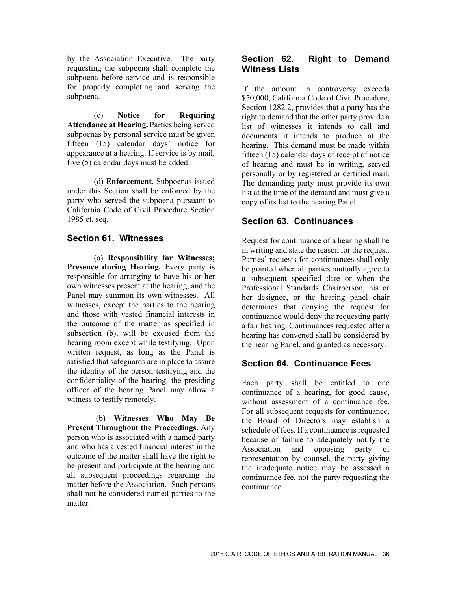by the Association Executive. The party requesting the subpoena shall complete the subpoena before service and is responsible for properly completing and serving the subpoena.

(c) **Notice for Requiring Attendance at Hearing.** Parties being served subpoenas by personal service must be given fifteen (15) calendar days' notice for appearance at a hearing. If service is by mail, five (5) calendar days must be added.

(d) **Enforcement.** Subpoenas issued under this Section shall be enforced by the party who served the subpoena pursuant to California Code of Civil Procedure Section 1985 et. seq.

#### **Section 61. Witnesses**

(a) **Responsibility for Witnesses;**  Presence during Hearing. Every party is responsible for arranging to have his or her own witnesses present at the hearing, and the Panel may summon its own witnesses. All witnesses, except the parties to the hearing and those with vested financial interests in the outcome of the matter as specified in subsection (b), will be excused from the hearing room except while testifying. Upon written request, as long as the Panel is satisfied that safeguards are in place to assure the identity of the person testifying and the confidentiality of the hearing, the presiding officer of the hearing Panel may allow a witness to testify remotely.

 (b) **Witnesses Who May Be Present Throughout the Proceedings.** Any person who is associated with a named party and who has a vested financial interest in the outcome of the matter shall have the right to be present and participate at the hearing and all subsequent proceedings regarding the matter before the Association. Such persons shall not be considered named parties to the matter.

# **Section 62. Right to Demand Witness Lists**

If the amount in controversy exceeds \$50,000, California Code of Civil Procedure, Section 1282.2, provides that a party has the right to demand that the other party provide a list of witnesses it intends to call and documents it intends to produce at the hearing. This demand must be made within fifteen (15) calendar days of receipt of notice of hearing and must be in writing, served personally or by registered or certified mail. The demanding party must provide its own list at the time of the demand and must give a copy of its list to the hearing Panel.

# **Section 63. Continuances**

Request for continuance of a hearing shall be in writing and state the reason for the request. Parties' requests for continuances shall only be granted when all parties mutually agree to a subsequent specified date or when the Professional Standards Chairperson, his or her designee, or the hearing panel chair determines that denying the request for continuance would deny the requesting party a fair hearing. Continuances requested after a hearing has convened shall be considered by the hearing Panel, and granted as necessary.

# **Section 64. Continuance Fees**

Each party shall be entitled to one continuance of a hearing, for good cause, without assessment of a continuance fee. For all subsequent requests for continuance, the Board of Directors may establish a schedule of fees. If a continuance is requested because of failure to adequately notify the Association and opposing party of representation by counsel, the party giving the inadequate notice may be assessed a continuance fee, not the party requesting the continuance.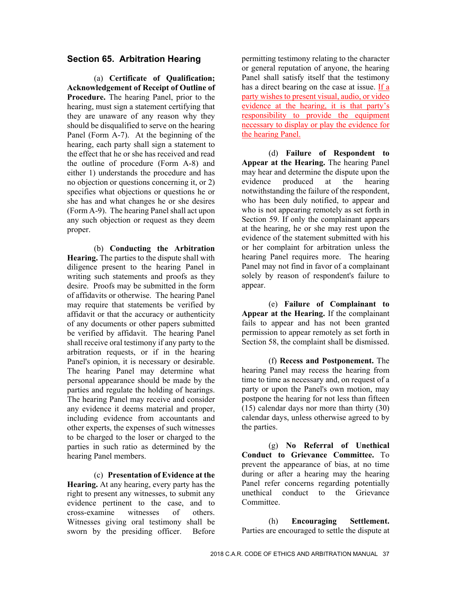#### **Section 65. Arbitration Hearing**

(a) **Certificate of Qualification; Acknowledgement of Receipt of Outline of Procedure.** The hearing Panel, prior to the hearing, must sign a statement certifying that they are unaware of any reason why they should be disqualified to serve on the hearing Panel (Form A-7). At the beginning of the hearing, each party shall sign a statement to the effect that he or she has received and read the outline of procedure (Form A-8) and either 1) understands the procedure and has no objection or questions concerning it, or 2) specifies what objections or questions he or she has and what changes he or she desires (Form A-9). The hearing Panel shall act upon any such objection or request as they deem proper.

(b) **Conducting the Arbitration Hearing.** The parties to the dispute shall with diligence present to the hearing Panel in writing such statements and proofs as they desire. Proofs may be submitted in the form of affidavits or otherwise. The hearing Panel may require that statements be verified by affidavit or that the accuracy or authenticity of any documents or other papers submitted be verified by affidavit. The hearing Panel shall receive oral testimony if any party to the arbitration requests, or if in the hearing Panel's opinion, it is necessary or desirable. The hearing Panel may determine what personal appearance should be made by the parties and regulate the holding of hearings. The hearing Panel may receive and consider any evidence it deems material and proper, including evidence from accountants and other experts, the expenses of such witnesses to be charged to the loser or charged to the parties in such ratio as determined by the hearing Panel members.

(c) **Presentation of Evidence at the Hearing.** At any hearing, every party has the right to present any witnesses, to submit any evidence pertinent to the case, and to cross-examine witnesses of others. Witnesses giving oral testimony shall be sworn by the presiding officer. Before

permitting testimony relating to the character or general reputation of anyone, the hearing Panel shall satisfy itself that the testimony has a direct bearing on the case at issue. If a party wishes to present visual, audio, or video evidence at the hearing, it is that party's responsibility to provide the equipment necessary to display or play the evidence for the hearing Panel.

(d) **Failure of Respondent to Appear at the Hearing.** The hearing Panel may hear and determine the dispute upon the evidence produced at the hearing notwithstanding the failure of the respondent, who has been duly notified, to appear and who is not appearing remotely as set forth in Section 59. If only the complainant appears at the hearing, he or she may rest upon the evidence of the statement submitted with his or her complaint for arbitration unless the hearing Panel requires more. The hearing Panel may not find in favor of a complainant solely by reason of respondent's failure to appear.

(e) **Failure of Complainant to Appear at the Hearing.** If the complainant fails to appear and has not been granted permission to appear remotely as set forth in Section 58, the complaint shall be dismissed.

(f) **Recess and Postponement.** The hearing Panel may recess the hearing from time to time as necessary and, on request of a party or upon the Panel's own motion, may postpone the hearing for not less than fifteen (15) calendar days nor more than thirty (30) calendar days, unless otherwise agreed to by the parties.

(g) **No Referral of Unethical Conduct to Grievance Committee.** To prevent the appearance of bias, at no time during or after a hearing may the hearing Panel refer concerns regarding potentially unethical conduct to the Grievance Committee.

(h) **Encouraging Settlement.**  Parties are encouraged to settle the dispute at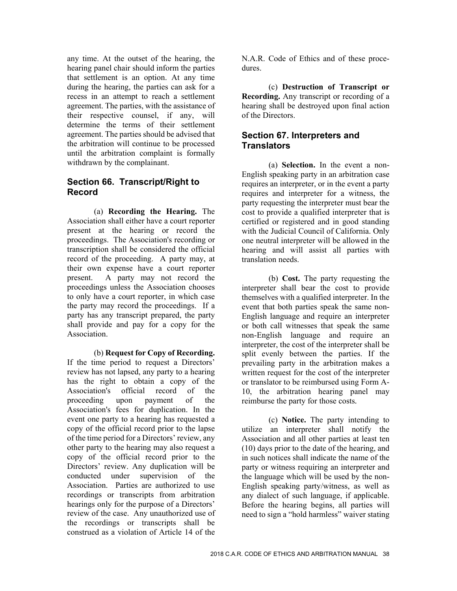any time. At the outset of the hearing, the hearing panel chair should inform the parties that settlement is an option. At any time during the hearing, the parties can ask for a recess in an attempt to reach a settlement agreement. The parties, with the assistance of their respective counsel, if any, will determine the terms of their settlement agreement. The parties should be advised that the arbitration will continue to be processed until the arbitration complaint is formally withdrawn by the complainant.

# **Section 66. Transcript/Right to Record**

(a) **Recording the Hearing.** The Association shall either have a court reporter present at the hearing or record the proceedings. The Association's recording or transcription shall be considered the official record of the proceeding. A party may, at their own expense have a court reporter present. A party may not record the proceedings unless the Association chooses to only have a court reporter, in which case the party may record the proceedings. If a party has any transcript prepared, the party shall provide and pay for a copy for the Association.

(b) **Request for Copy of Recording.**  If the time period to request a Directors' review has not lapsed, any party to a hearing has the right to obtain a copy of the Association's official record of the proceeding upon payment of the Association's fees for duplication. In the event one party to a hearing has requested a copy of the official record prior to the lapse of the time period for a Directors' review, any other party to the hearing may also request a copy of the official record prior to the Directors' review. Any duplication will be conducted under supervision of the Association. Parties are authorized to use recordings or transcripts from arbitration hearings only for the purpose of a Directors' review of the case. Any unauthorized use of the recordings or transcripts shall be construed as a violation of Article 14 of the

N.A.R. Code of Ethics and of these procedures.

(c) **Destruction of Transcript or Recording.** Any transcript or recording of a hearing shall be destroyed upon final action of the Directors.

#### **Section 67. Interpreters and Translators**

(a) **Selection.** In the event a non-English speaking party in an arbitration case requires an interpreter, or in the event a party requires and interpreter for a witness, the party requesting the interpreter must bear the cost to provide a qualified interpreter that is certified or registered and in good standing with the Judicial Council of California. Only one neutral interpreter will be allowed in the hearing and will assist all parties with translation needs.

(b) **Cost.** The party requesting the interpreter shall bear the cost to provide themselves with a qualified interpreter. In the event that both parties speak the same non-English language and require an interpreter or both call witnesses that speak the same non-English language and require an interpreter, the cost of the interpreter shall be split evenly between the parties. If the prevailing party in the arbitration makes a written request for the cost of the interpreter or translator to be reimbursed using Form A-10, the arbitration hearing panel may reimburse the party for those costs*.* 

(c) **Notice.** The party intending to utilize an interpreter shall notify the Association and all other parties at least ten (10) days prior to the date of the hearing, and in such notices shall indicate the name of the party or witness requiring an interpreter and the language which will be used by the non-English speaking party/witness, as well as any dialect of such language, if applicable. Before the hearing begins, all parties will need to sign a "hold harmless" waiver stating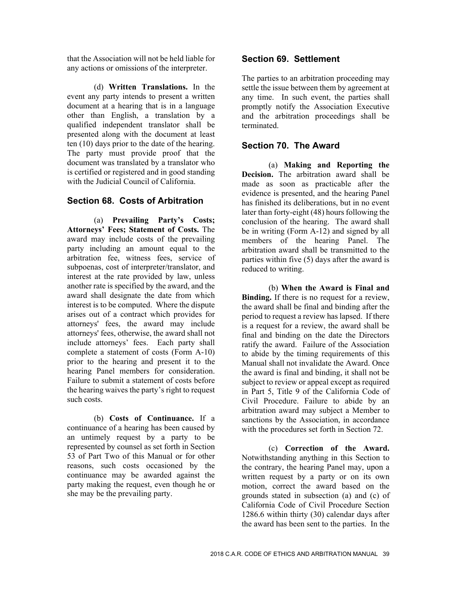that the Association will not be held liable for any actions or omissions of the interpreter.

(d) **Written Translations.** In the event any party intends to present a written document at a hearing that is in a language other than English, a translation by a qualified independent translator shall be presented along with the document at least ten (10) days prior to the date of the hearing. The party must provide proof that the document was translated by a translator who is certified or registered and in good standing with the Judicial Council of California.

#### **Section 68. Costs of Arbitration**

(a) **Prevailing Party's Costs; Attorneys' Fees; Statement of Costs.** The award may include costs of the prevailing party including an amount equal to the arbitration fee, witness fees, service of subpoenas, cost of interpreter/translator, and interest at the rate provided by law, unless another rate is specified by the award, and the award shall designate the date from which interest is to be computed. Where the dispute arises out of a contract which provides for attorneys' fees, the award may include attorneys' fees, otherwise, the award shall not include attorneys' fees. Each party shall complete a statement of costs (Form A-10) prior to the hearing and present it to the hearing Panel members for consideration. Failure to submit a statement of costs before the hearing waives the party's right to request such costs.

(b) **Costs of Continuance.** If a continuance of a hearing has been caused by an untimely request by a party to be represented by counsel as set forth in Section 53 of Part Two of this Manual or for other reasons, such costs occasioned by the continuance may be awarded against the party making the request, even though he or she may be the prevailing party.

#### **Section 69. Settlement**

The parties to an arbitration proceeding may settle the issue between them by agreement at any time. In such event, the parties shall promptly notify the Association Executive and the arbitration proceedings shall be terminated.

#### **Section 70. The Award**

(a) **Making and Reporting the Decision.** The arbitration award shall be made as soon as practicable after the evidence is presented, and the hearing Panel has finished its deliberations, but in no event later than forty-eight (48) hours following the conclusion of the hearing. The award shall be in writing (Form A-12) and signed by all members of the hearing Panel. The arbitration award shall be transmitted to the parties within five (5) days after the award is reduced to writing.

(b) **When the Award is Final and Binding.** If there is no request for a review, the award shall be final and binding after the period to request a review has lapsed. If there is a request for a review, the award shall be final and binding on the date the Directors ratify the award. Failure of the Association to abide by the timing requirements of this Manual shall not invalidate the Award. Once the award is final and binding, it shall not be subject to review or appeal except as required in Part 5, Title 9 of the California Code of Civil Procedure. Failure to abide by an arbitration award may subject a Member to sanctions by the Association, in accordance with the procedures set forth in Section 72.

(c) **Correction of the Award.**  Notwithstanding anything in this Section to the contrary, the hearing Panel may, upon a written request by a party or on its own motion, correct the award based on the grounds stated in subsection (a) and (c) of California Code of Civil Procedure Section 1286.6 within thirty (30) calendar days after the award has been sent to the parties. In the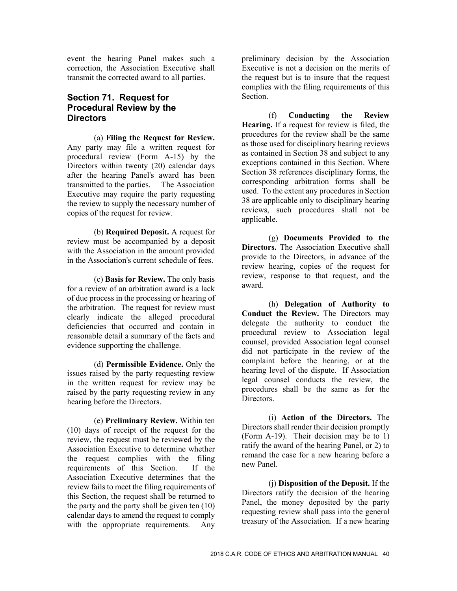event the hearing Panel makes such a correction, the Association Executive shall transmit the corrected award to all parties.

#### **Section 71. Request for Procedural Review by the Directors**

(a) **Filing the Request for Review.**  Any party may file a written request for procedural review (Form A-15) by the Directors within twenty (20) calendar days after the hearing Panel's award has been transmitted to the parties. The Association Executive may require the party requesting the review to supply the necessary number of copies of the request for review.

(b) **Required Deposit.** A request for review must be accompanied by a deposit with the Association in the amount provided in the Association's current schedule of fees.

(c) **Basis for Review.** The only basis for a review of an arbitration award is a lack of due process in the processing or hearing of the arbitration. The request for review must clearly indicate the alleged procedural deficiencies that occurred and contain in reasonable detail a summary of the facts and evidence supporting the challenge.

(d) **Permissible Evidence.** Only the issues raised by the party requesting review in the written request for review may be raised by the party requesting review in any hearing before the Directors.

(e) **Preliminary Review.** Within ten (10) days of receipt of the request for the review, the request must be reviewed by the Association Executive to determine whether the request complies with the filing requirements of this Section. If the Association Executive determines that the review fails to meet the filing requirements of this Section, the request shall be returned to the party and the party shall be given ten (10) calendar days to amend the request to comply with the appropriate requirements. Any

preliminary decision by the Association Executive is not a decision on the merits of the request but is to insure that the request complies with the filing requirements of this Section.

(f) **Conducting the Review Hearing.** If a request for review is filed, the procedures for the review shall be the same as those used for disciplinary hearing reviews as contained in Section 38 and subject to any exceptions contained in this Section. Where Section 38 references disciplinary forms, the corresponding arbitration forms shall be used. To the extent any procedures in Section 38 are applicable only to disciplinary hearing reviews, such procedures shall not be applicable.

(g) **Documents Provided to the Directors.** The Association Executive shall provide to the Directors, in advance of the review hearing, copies of the request for review, response to that request, and the award.

(h) **Delegation of Authority to Conduct the Review.** The Directors may delegate the authority to conduct the procedural review to Association legal counsel, provided Association legal counsel did not participate in the review of the complaint before the hearing, or at the hearing level of the dispute. If Association legal counsel conducts the review, the procedures shall be the same as for the Directors.

(i) **Action of the Directors.** The Directors shall render their decision promptly (Form A-19). Their decision may be to 1) ratify the award of the hearing Panel, or 2) to remand the case for a new hearing before a new Panel.

(j) **Disposition of the Deposit.** If the Directors ratify the decision of the hearing Panel, the money deposited by the party requesting review shall pass into the general treasury of the Association. If a new hearing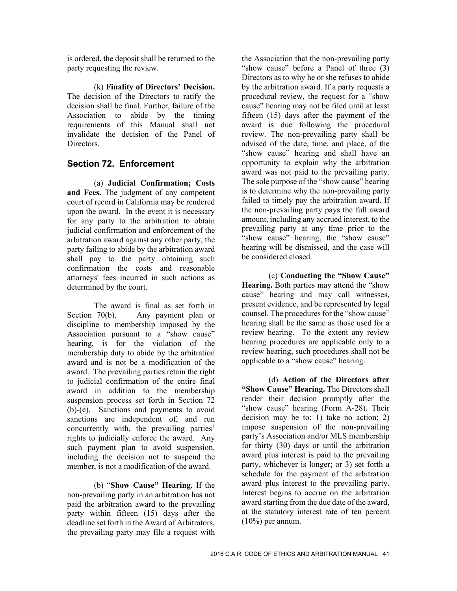is ordered, the deposit shall be returned to the party requesting the review.

(k) **Finality of Directors' Decision.**  The decision of the Directors to ratify the decision shall be final. Further, failure of the Association to abide by the timing requirements of this Manual shall not invalidate the decision of the Panel of **Directors** 

# **Section 72. Enforcement**

(a) **Judicial Confirmation; Costs and Fees.** The judgment of any competent court of record in California may be rendered upon the award. In the event it is necessary for any party to the arbitration to obtain judicial confirmation and enforcement of the arbitration award against any other party, the party failing to abide by the arbitration award shall pay to the party obtaining such confirmation the costs and reasonable attorneys' fees incurred in such actions as determined by the court.

 The award is final as set forth in Section 70(b). Any payment plan or discipline to membership imposed by the Association pursuant to a "show cause" hearing, is for the violation of the membership duty to abide by the arbitration award and is not be a modification of the award. The prevailing parties retain the right to judicial confirmation of the entire final award in addition to the membership suspension process set forth in Section 72 (b)-(e). Sanctions and payments to avoid sanctions are independent of, and run concurrently with, the prevailing parties' rights to judicially enforce the award. Any such payment plan to avoid suspension, including the decision not to suspend the member, is not a modification of the award.

(b) "**Show Cause" Hearing.** If the non-prevailing party in an arbitration has not paid the arbitration award to the prevailing party within fifteen (15) days after the deadline set forth in the Award of Arbitrators, the prevailing party may file a request with

the Association that the non-prevailing party "show cause" before a Panel of three (3) Directors as to why he or she refuses to abide by the arbitration award. If a party requests a procedural review, the request for a "show cause" hearing may not be filed until at least fifteen (15) days after the payment of the award is due following the procedural review. The non-prevailing party shall be advised of the date, time, and place, of the "show cause" hearing and shall have an opportunity to explain why the arbitration award was not paid to the prevailing party. The sole purpose of the "show cause" hearing is to determine why the non-prevailing party failed to timely pay the arbitration award. If the non-prevailing party pays the full award amount, including any accrued interest, to the prevailing party at any time prior to the "show cause" hearing, the "show cause" hearing will be dismissed, and the case will be considered closed.

 (c) **Conducting the "Show Cause" Hearing.** Both parties may attend the "show cause" hearing and may call witnesses, present evidence, and be represented by legal counsel. The procedures for the "show cause" hearing shall be the same as those used for a review hearing. To the extent any review hearing procedures are applicable only to a review hearing, such procedures shall not be applicable to a "show cause" hearing.

 (d) **Action of the Directors after "Show Cause" Hearing.** The Directors shall render their decision promptly after the "show cause" hearing (Form A-28). Their decision may be to: 1) take no action; 2) impose suspension of the non-prevailing party's Association and/or MLS membership for thirty (30) days or until the arbitration award plus interest is paid to the prevailing party, whichever is longer; or 3) set forth a schedule for the payment of the arbitration award plus interest to the prevailing party. Interest begins to accrue on the arbitration award starting from the due date of the award, at the statutory interest rate of ten percent  $(10\%)$  per annum.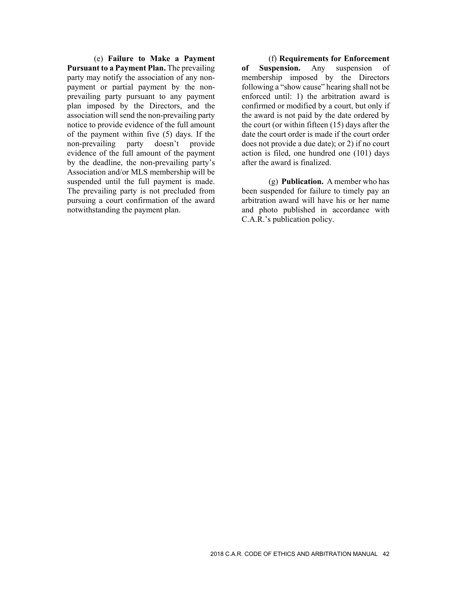(e) **Failure to Make a Payment Pursuant to a Payment Plan.** The prevailing party may notify the association of any nonpayment or partial payment by the nonprevailing party pursuant to any payment plan imposed by the Directors, and the association will send the non-prevailing party notice to provide evidence of the full amount of the payment within five (5) days. If the non-prevailing party doesn't provide evidence of the full amount of the payment by the deadline, the non-prevailing party's Association and/or MLS membership will be suspended until the full payment is made. The prevailing party is not precluded from pursuing a court confirmation of the award notwithstanding the payment plan.

 (f) **Requirements for Enforcement of Suspension.** Any suspension of membership imposed by the Directors following a "show cause" hearing shall not be enforced until: 1) the arbitration award is confirmed or modified by a court, but only if the award is not paid by the date ordered by the court (or within fifteen (15) days after the date the court order is made if the court order does not provide a due date); or 2) if no court action is filed, one hundred one (101) days after the award is finalized.

 (g) **Publication.** A member who has been suspended for failure to timely pay an arbitration award will have his or her name and photo published in accordance with C.A.R.'s publication policy.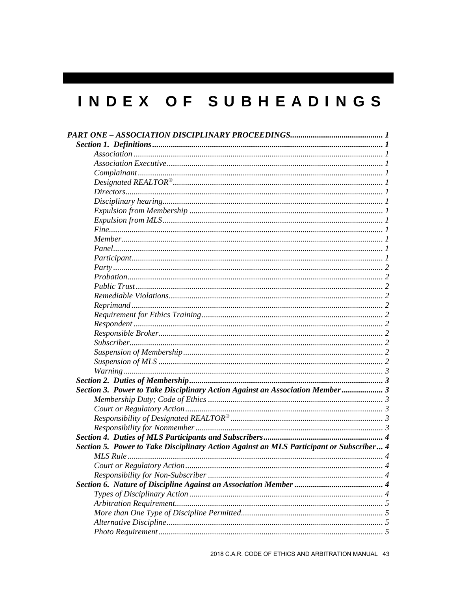# INDEX OF SUBHEADINGS

| Section 3. Power to Take Disciplinary Action Against an Association Member  3           |
|-----------------------------------------------------------------------------------------|
|                                                                                         |
|                                                                                         |
|                                                                                         |
|                                                                                         |
|                                                                                         |
| Section 5. Power to Take Disciplinary Action Against an MLS Participant or Subscriber 4 |
|                                                                                         |
|                                                                                         |
|                                                                                         |
|                                                                                         |
|                                                                                         |
|                                                                                         |
|                                                                                         |
|                                                                                         |
|                                                                                         |
|                                                                                         |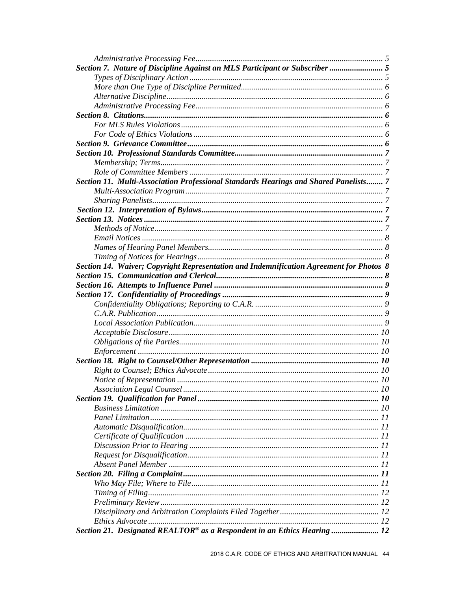| Section 7. Nature of Discipline Against an MLS Participant or Subscriber  5             |  |
|-----------------------------------------------------------------------------------------|--|
|                                                                                         |  |
|                                                                                         |  |
|                                                                                         |  |
|                                                                                         |  |
|                                                                                         |  |
|                                                                                         |  |
|                                                                                         |  |
|                                                                                         |  |
|                                                                                         |  |
|                                                                                         |  |
|                                                                                         |  |
| Section 11. Multi-Association Professional Standards Hearings and Shared Panelists 7    |  |
|                                                                                         |  |
|                                                                                         |  |
|                                                                                         |  |
|                                                                                         |  |
|                                                                                         |  |
|                                                                                         |  |
|                                                                                         |  |
|                                                                                         |  |
| Section 14. Waiver; Copyright Representation and Indemnification Agreement for Photos 8 |  |
|                                                                                         |  |
|                                                                                         |  |
|                                                                                         |  |
|                                                                                         |  |
|                                                                                         |  |
|                                                                                         |  |
|                                                                                         |  |
|                                                                                         |  |
|                                                                                         |  |
|                                                                                         |  |
|                                                                                         |  |
|                                                                                         |  |
|                                                                                         |  |
|                                                                                         |  |
|                                                                                         |  |
|                                                                                         |  |
|                                                                                         |  |
|                                                                                         |  |
|                                                                                         |  |
|                                                                                         |  |
|                                                                                         |  |
|                                                                                         |  |
|                                                                                         |  |
|                                                                                         |  |
|                                                                                         |  |
|                                                                                         |  |
| Ethics Advocate                                                                         |  |
| Section 21. Designated REALTOR® as a Respondent in an Ethics Hearing  12                |  |
|                                                                                         |  |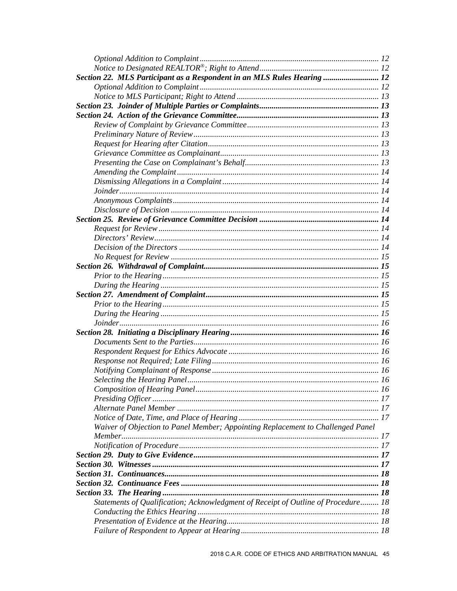| Section 22. MLS Participant as a Respondent in an MLS Rules Hearing  12           |  |
|-----------------------------------------------------------------------------------|--|
|                                                                                   |  |
|                                                                                   |  |
|                                                                                   |  |
|                                                                                   |  |
|                                                                                   |  |
|                                                                                   |  |
|                                                                                   |  |
|                                                                                   |  |
|                                                                                   |  |
|                                                                                   |  |
|                                                                                   |  |
|                                                                                   |  |
|                                                                                   |  |
|                                                                                   |  |
|                                                                                   |  |
|                                                                                   |  |
|                                                                                   |  |
|                                                                                   |  |
|                                                                                   |  |
|                                                                                   |  |
|                                                                                   |  |
|                                                                                   |  |
|                                                                                   |  |
|                                                                                   |  |
|                                                                                   |  |
|                                                                                   |  |
|                                                                                   |  |
|                                                                                   |  |
|                                                                                   |  |
|                                                                                   |  |
|                                                                                   |  |
|                                                                                   |  |
|                                                                                   |  |
|                                                                                   |  |
|                                                                                   |  |
|                                                                                   |  |
|                                                                                   |  |
| Waiver of Objection to Panel Member; Appointing Replacement to Challenged Panel   |  |
|                                                                                   |  |
|                                                                                   |  |
|                                                                                   |  |
|                                                                                   |  |
|                                                                                   |  |
|                                                                                   |  |
|                                                                                   |  |
|                                                                                   |  |
| Statements of Qualification; Acknowledgment of Receipt of Outline of Procedure 18 |  |
|                                                                                   |  |
|                                                                                   |  |
|                                                                                   |  |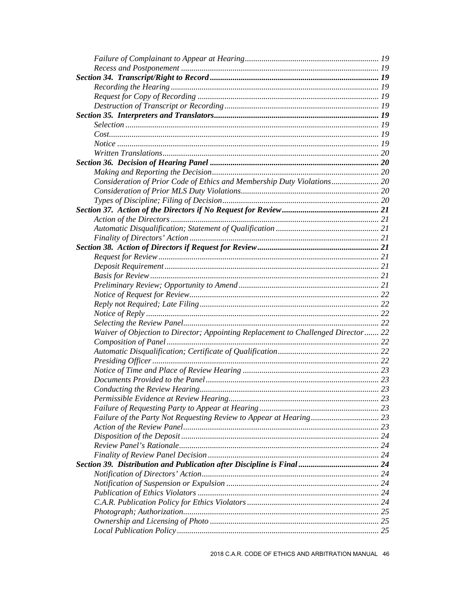| Consideration of Prior Code of Ethics and Membership Duty Violations 20           |  |
|-----------------------------------------------------------------------------------|--|
|                                                                                   |  |
|                                                                                   |  |
|                                                                                   |  |
|                                                                                   |  |
|                                                                                   |  |
|                                                                                   |  |
|                                                                                   |  |
|                                                                                   |  |
|                                                                                   |  |
|                                                                                   |  |
|                                                                                   |  |
|                                                                                   |  |
|                                                                                   |  |
|                                                                                   |  |
|                                                                                   |  |
|                                                                                   |  |
| Waiver of Objection to Director; Appointing Replacement to Challenged Director 22 |  |
|                                                                                   |  |
|                                                                                   |  |
|                                                                                   |  |
|                                                                                   |  |
|                                                                                   |  |
|                                                                                   |  |
|                                                                                   |  |
|                                                                                   |  |
|                                                                                   |  |
|                                                                                   |  |
|                                                                                   |  |
|                                                                                   |  |
|                                                                                   |  |
|                                                                                   |  |
|                                                                                   |  |
|                                                                                   |  |
|                                                                                   |  |
|                                                                                   |  |
|                                                                                   |  |
|                                                                                   |  |
|                                                                                   |  |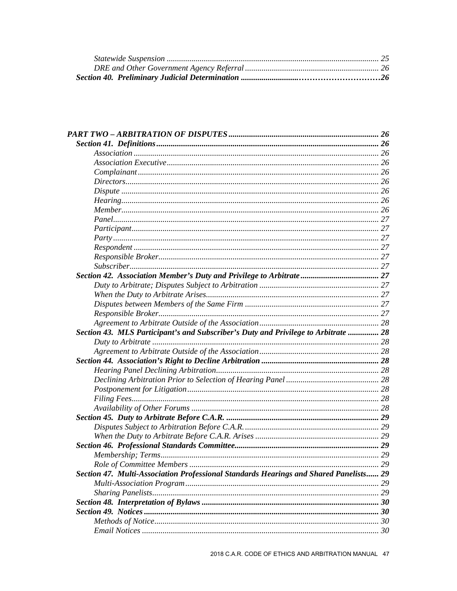| Section 43. MLS Participant's and Subscriber's Duty and Privilege to Arbitrate  28    |    |
|---------------------------------------------------------------------------------------|----|
|                                                                                       |    |
|                                                                                       |    |
|                                                                                       |    |
|                                                                                       |    |
|                                                                                       |    |
|                                                                                       |    |
|                                                                                       |    |
|                                                                                       |    |
|                                                                                       |    |
|                                                                                       |    |
|                                                                                       |    |
|                                                                                       |    |
|                                                                                       |    |
| Role of Committee Members                                                             | 29 |
| Section 47. Multi-Association Professional Standards Hearings and Shared Panelists 29 |    |
|                                                                                       |    |
|                                                                                       |    |
|                                                                                       |    |
|                                                                                       |    |
|                                                                                       |    |
|                                                                                       |    |
|                                                                                       |    |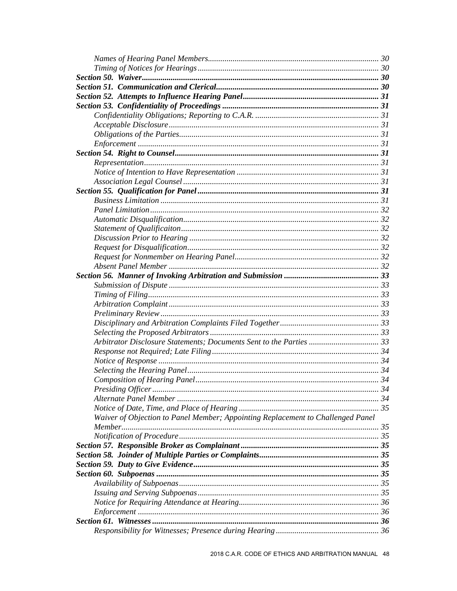| Arbitrator Disclosure Statements; Documents Sent to the Parties  33             |  |
|---------------------------------------------------------------------------------|--|
|                                                                                 |  |
|                                                                                 |  |
|                                                                                 |  |
|                                                                                 |  |
|                                                                                 |  |
|                                                                                 |  |
|                                                                                 |  |
| Waiver of Objection to Panel Member; Appointing Replacement to Challenged Panel |  |
|                                                                                 |  |
|                                                                                 |  |
|                                                                                 |  |
|                                                                                 |  |
|                                                                                 |  |
|                                                                                 |  |
|                                                                                 |  |
|                                                                                 |  |
|                                                                                 |  |
|                                                                                 |  |
|                                                                                 |  |
|                                                                                 |  |